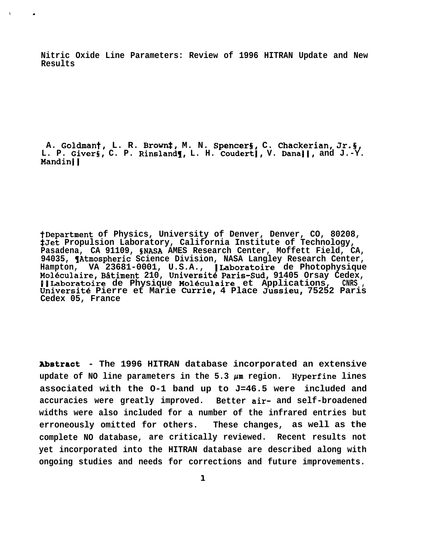**Nitric Oxide Line Parameters: Review of 1996 HITRAN Update and New Results**

**A. Goldmant, L. R. Broti, M. N. Spencers, C. Chackerian, Jr.5,** L. P. Givers, C. P. Rinsland**(**, L. H. Coudert), V. Dana||, and J.-Y. **Mandin~]**

**tDepartment of Physics, University of Denver, Denver, CO, 80208, \$Jet Propulsion Laboratory, California Institute of Technology, Pasadena, CA 91109, SNASA AMES Research Center, Moffett Field, CA,** 94035, **(Atmospheric Science Division, NASA Langley Research Center, Hampton, VA 23681-0001, U.S.A., ]Laboratoire de Photophysique Mo16culaire, B~timent 210, Universit6 Paris-Sud, 91405 Orsay Cedex, fllLaboratoire de Physique Mo16culaire et Applications, CNRS , Universit6 Pierre et Marie Currie, 4 Place Jussieu, 75252 Paris Cedex 05, France**

**Abatraat - The 1996 HITRAN database incorporated an extensive update of NO line parameters in the 5.3 pm region. Hyperfine lines associated with the O-1 band up to J=46.5 were included and accuracies were greatly improved. Better air- and self-broadened widths were also included for a number of the infrared entries but erroneously omitted for others. These changes, as well as the complete NO database, are critically reviewed. Recent results not yet incorporated into the HITRAN database are described along with ongoing studies and needs for corrections and future improvements.**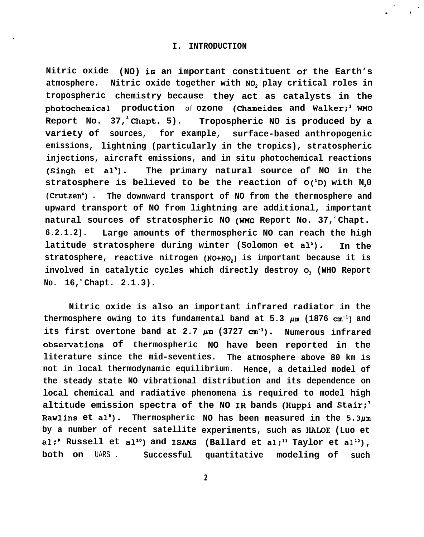**Nitric oxide (NO) is an important constituent of the Earth's** atmosphere. Nitric oxide together with NO<sub>2</sub> play critical roles in **tropospheric chemistry because they act as catalysts in the photochemical production** of **ozone (Chameides and Walker;i WMO Report No. 37,<sup>2</sup>Chapt. 5). Tropospheric NO is produced by a variety of sources, for example, surface-based anthropogenic emissions, lightning (particularly in the tropics), stratospheric injections, aircraft emissions, and in situ photochemical reactions (Singh et a13). The primary natural source of NO in the stratosphere is believed to be the reaction of O(iD) with N20 (Crutzen') . The downward transport of NO from the thermosphere and upward transport of NO from lightning are additional, important natural sources of stratospheric NO (WMO Report No. 37,<sup>2</sup>Chapt. 6.2.1.2). Large amounts of thermospheric NO can reach the high latitude stratosphere during winter (Solomon et als). In the** stratosphere, reactive nitrogen (NO+NO<sub>2</sub>) is important because it is involved in catalytic cycles which directly destroy O, (WHO Report **No. 16,<sup>s</sup>Chapt. 2.1.3).**

**Nitric oxide is also an important infrared radiator in the** thermosphere owing to its fundamental band at  $5.3 \mu m$  (1876 cm<sup>-1</sup>) and its first overtone band at  $2.7 \mu m$  (3727 cm<sup>-1</sup>). Numerous infrared **obsenations of thermospheric NO have been reported in the literature since the mid-seventies. The atmosphere above 80 km is not in local thermodynamic equilibrium. Hence, a detailed model of the steady state NO vibrational distribution and its dependence on local chemical and radiative phenomena is required to model high altitude emission spectra of the NO IR bands (Huppi and Stair;' Rawlins et al'). Thermospheric NO has been measured in the 5.3pm by a number of recent satellite experiments, such as HALOE (Luo et** al;' Russell et al<sup>10</sup>) and ISAMS (Ballard et al;<sup>11</sup> Taylor et al<sup>12</sup>), **both on** UARS . **Successful quantitative modeling of such**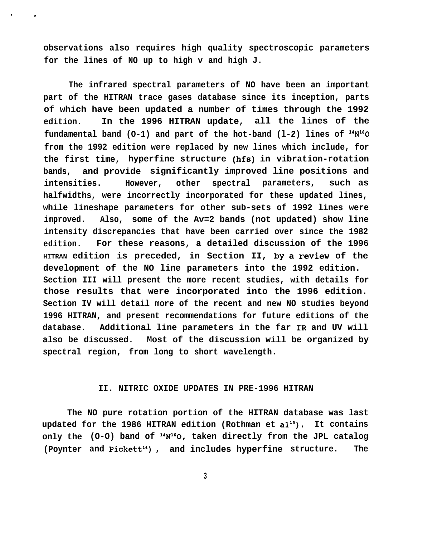**observations also requires high quality spectroscopic parameters for the lines of NO up to high v and high J.**

, .

**The infrared spectral parameters of NO have been an important part of the HITRAN trace gases database since its inception, parts of which have been updated a number of times through the 1992 edition. In the 1996 HITRAN update, all the lines of the** fundamental band  $(O-1)$  and part of the hot-band  $(1-2)$  lines of  $14N^{16}O$ **from the 1992 edition were replaced by new lines which include, for the first time, hyperfine structure (hfs) in vibration-rotation bands, and provide significantly improved line positions and intensities. However, other spectral parameters, such as halfwidths, were incorrectly incorporated for these updated lines, while lineshape parameters for other sub-sets of 1992 lines were improved. Also, some of the Av=2 bands (not updated) show line intensity discrepancies that have been carried over since the 1982 edition. For these reasons, a detailed discussion of the 1996 HITRAN edition is preceded, in Section II,** by a review **of the development of the NO line parameters into the 1992 edition. Section III will present the more recent studies, with details for those results that were incorporated into the 1996 edition. Section IV will detail more of the recent and new NO studies beyond 1996 HITRAN, and present recommendations for future editions of the database. Additional line parameters in the far IR and UV will also be discussed. Most of the discussion will be organized by spectral region, from long to short wavelength.**

# **II. NITRIC OXIDE UPDATES IN PRE-1996 HITRAN**

**The NO pure rotation portion of the HITRAN database was last** updated for the 1986 HITRAN edition (Rothman et al<sup>13</sup>). It contains **only the (O-O) band of "N'gO, taken directly from the JPL catalog** (Poynter and Pickett<sup>14</sup>), and includes hyperfine structure. The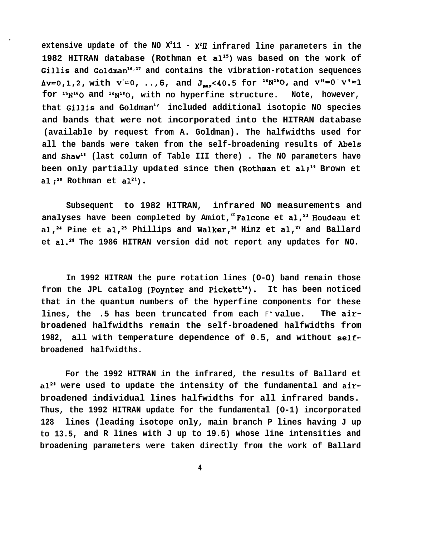**extensive update of the NO X<sup>2</sup> 11 - X2~ infrared line parameters in the 1982 HITRAN database (Rothman et alis) was based on the work of** Gillis and Goldman<sup>16,17</sup> and contains the vibration-rotation sequences  $\Delta v=0,1,2$ , with  $v'=0$ , ..,6, and  $J_{\text{max}}<40.5$  for  $\Delta v''=0$ , and  $v''=0$   $v'=1$ **for 15NiG0 and 16Nls0, with no hyperfine structure. Note, however, that Gillis and Goldman<sup>i</sup> ' included additional isotopic NO species and bands that were not incorporated into the HITRAN database (available by request from A. Goldman). The halfwidths used for all the bands were taken from the self-broadening results of Abels and Shawi' (last column of Table III there) . The NO parameters have** been only partially updated since then (Rothman et al;<sup>19</sup> Brown et  $al: ^{20}$  Rothman et  $al^{21}$ ).

**Subsequent to 1982 HITRAN, infrared NO measurements and analyses have been completed by Amiot,<sup>22</sup>Falcone et al~23 Houdeau et** al,<sup>24</sup> Pine et al,<sup>25</sup> Phillips and Walker,<sup>26</sup> Hinz et al,<sup>27</sup> and Ballard **et al.2\* The 1986 HITRAN version did not report any updates for NO.**

**In 1992 HITRAN the pure rotation lines (O-O) band remain those from the JPL catalog (Poynter and Pickett"). It has been noticed that in the quantum numbers of the hyperfine components for these lines, the .5 has been truncated from each** F" **value. The airbroadened halfwidths remain the self-broadened halfwidths from 1982, all with temperature dependence of 0.5, and without selfbroadened halfwidths.**

**For the 1992 HITRAN in the infrared, the results of Ballard et a12a were used to update the intensity of the fundamental and airbroadened individual lines halfwidths for all infrared bands. Thus, the 1992 HITRAN update for the fundamental (O-1) incorporated 128 lines (leading isotope only, main branch P lines having J up to 13.5, and R lines with J up to 19.5) whose line intensities and broadening parameters were taken directly from the work of Ballard**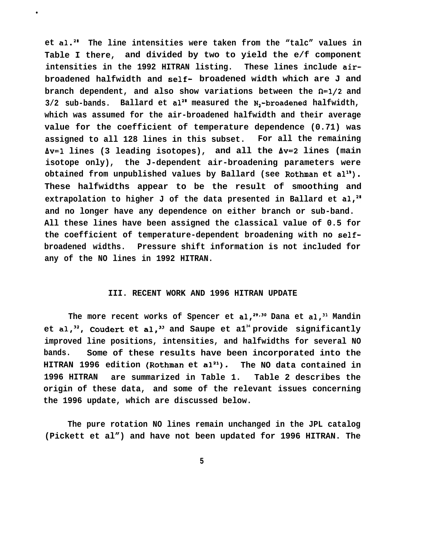**et al.2S The line intensities were taken from the "talc" values in Table I there, and divided by two to yield the e/f component intensities in the 1992 HITRAN listing. These lines include airbroadened halfwidth and self- broadened width which are J and branch dependent, and also show variations between the**  $\Omega = 1/2$  **and 3/2 sub-bands. Ballard et alz' measured the Nz-broadened halfwidth, which was assumed for the air-broadened halfwidth and their average value for the coefficient of temperature dependence (0.71) was assigned to all 128 lines in this subset. For all the remaining AV=I lines (3 leading isotopes), and all the Av=2 lines (main isotope only), the J-dependent air-broadening parameters were obtained from unpublished values by Ballard (see Rothman et alig). These halfwidths appear to be the result of smoothing and extrapolation to higher J of the data presented in Ballard et al,2\* and no longer have any dependence on either branch or sub-band. All these lines have been assigned the classical value of 0.5 for the coefficient of temperature-dependent broadening with no selfbroadened widths. Pressure shift information is not included for any of the NO lines in 1992 HITRAN.**

●

## **III. RECENT WORK AND 1996 HITRAN UPDATE**

The more recent works of Spencer et al,<sup>29.30</sup> Dana et al,<sup>31</sup> Mandin **et al,32, Coudert et al,33 and Saupe et a1<sup>34</sup>provide significantly improved line positions, intensities, and halfwidths for several NO bands. Some of these results have been incorporated into the** HITRAN 1996 edition (Rothman et al<sup>21</sup>). The NO data contained in **1996 HITRAN are summarized in Table 1. Table 2 describes the origin of these data, and some of the relevant issues concerning the 1996 update, which are discussed below.**

**The pure rotation NO lines remain unchanged in the JPL catalog (Pickett et al") and have not been updated for 1996 HITRAN. The**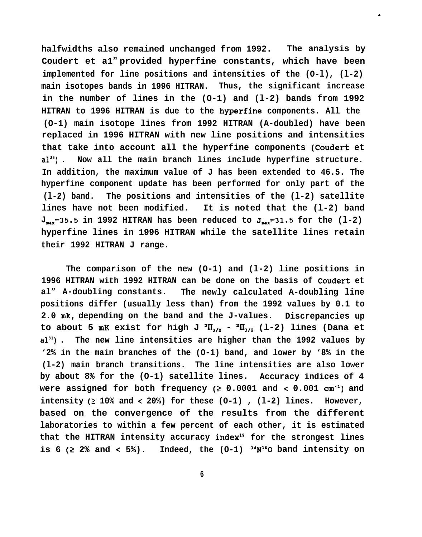**halfwidths also remained unchanged from 1992. The analysis by Coudert et a1<sup>33</sup>provided hyperfine constants, which have been implemented for line positions and intensities of the (O-l), (l-2) main isotopes bands in 1996 HITRAN. Thus, the significant increase in the number of lines in the (O-1) and (l-2) bands from 1992 HITRAN to 1996 HITRAN is due to the hyperfine components. All the (O-1) main isotope lines from 1992 HITRAN (A-doubled) have been replaced in 1996 HITRAN with new line positions and intensities that take into account all the hyperfine components (Coudert et a133) . Now all the main branch lines include hyperfine structure. In addition, the maximum value of J has been extended to 46.5. The hyperfine component update has been performed for only part of the (l-2) band. The positions and intensities of the (l-2) satellite lines have not been modified. It is noted that the (l-2) band**  $J_{\text{max}}$ =35.5 in 1992 HITRAN has been reduced to  $J_{\text{max}}$ =31.5 for the (1-2) **hyperfine lines in 1996 HITRAN while the satellite lines retain their 1992 HITRAN J range.**

.

**The comparison of the new (O-1) and (l-2) line positions in 1996 HITRAN with 1992 HITRAN can be done on the basis of Coudert et al" A-doubling constants. The newly calculated A-doubling line positions differ (usually less than) from the 1992 values by 0.1 to 2.0 mk, depending on the band and the J-values. Discrepancies up** to about 5 mK exist for high J<sup>2</sup> $II_{3/2}$  - <sup>2</sup> $II_{3/2}$  (1-2) lines (Dana et **a131) . The new line intensities are higher than the 1992 values by '2% in the main branches of the (O-1) band, and lower by '8% in the (l-2) main branch transitions. The line intensities are also lower by about 8% for the (O-1) satellite lines. Accuracy indices of 4** were assigned for both frequency  $(2 0.0001$  and  $(0.001 cm^{-1})$  and **intensity (2 10% and < 20%) for these (O-1) , (l-2) lines. However, based on the convergence of the results from the different laboratories to within a few percent of each other, it is estimated that the HITRAN intensity accuracy indexi9 for the strongest lines** is 6 ( $\geq$  2% and < 5%). Indeed, the  $(0-1)$  <sup>14</sup>N<sup>16</sup>O band intensity on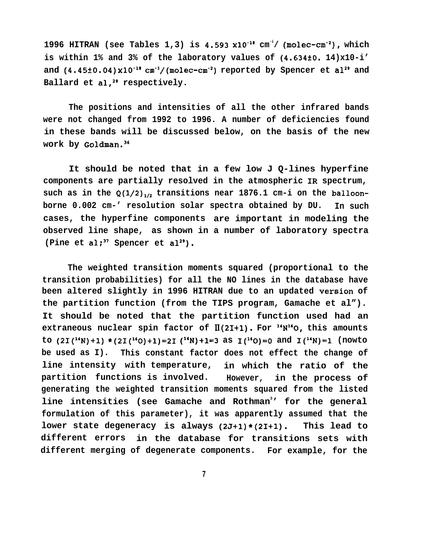**1996 HITRAN (see Tables 1,3) is 4.593 x10"i' cm -i/ (molec-cm-2), which is within 1% and 3% of the laboratory values of (4.634i0. 14)x10-i' and (4.45f0.04)x10-i' cm-i/(molec-cm"2) reported by Spencer et a12g and** Ballard et al,<sup>2</sup> respectively.

**The positions and intensities of all the other infrared bands were not changed from 1992 to 1996. A number of deficiencies found in these bands will be discussed below, on the basis of the new work by Goldman.3c**

**It should be noted that in a few low J Q-lines hyperfine components are partially resolved in the atmospheric IR spectrum,** such as in the  $Q(1/2)_{1/2}$  transitions near 1876.1 cm-i on the balloon**borne 0.002 cm-' resolution solar spectra obtained by DU. In such cases, the hyperfine components are important in modeling the observed line shape, as shown in a number of laboratory spectra**  $(\text{Plane et al};^{37} \text{ Spencer et al}^{29})$ .

**The weighted transition moments squared (proportional to the transition probabilities) for all the NO lines in the database have** been altered slightly in 1996 HITRAN due to an updated version of **the partition function (from the TIPS program, Gamache et al"). It should be noted that the partition function used had an** extraneous nuclear spin factor of  $\mathbb{I}(2I+1)$ . For  $\mathbb{I}^1\mathbb{N}^1$ <sup>1</sup>, this amounts to  $(2I(^{14}N)+1)$  **\*** $(2I(^{16}O)+1)=2I(^{14}N)+1=3$  as  $I(^{16}O)=0$  and  $I(^{14}N)=1$  (nowto **be used as I). This constant factor does not effect the change of line intensity with temperature, in which the ratio of the partition functions is involved. However, in the process of generating the weighted transition moments squared from the listed line intensities (see Gamache and Rothman<sup>3</sup> ' for the general formulation of this parameter), it was apparently assumed that the lower state degeneracy is always (2J+1)\*(21+1). This lead to different errors in the database for transitions sets with different merging of degenerate components. For example, for the**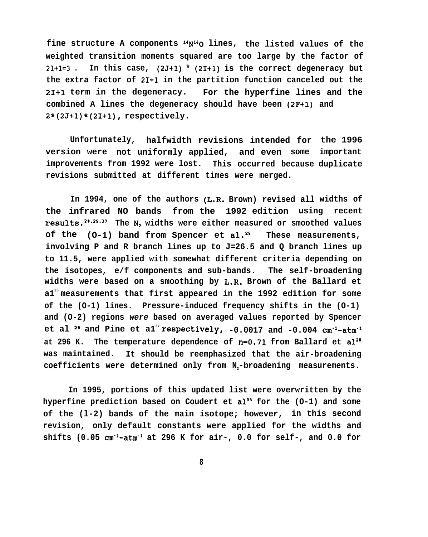fine structure A components "N<sup>16</sup>O lines, the listed values of the **weighted transition moments squared are too large by the factor of 21+1=3 . In this case, (2J+1) \* (21+1) is the correct degeneracy but the extra factor of 21+1 in the partition function canceled out the 21+1 term in the degeneracy. For the hyperfine lines and the combined A lines the degeneracy should have been (2F+l) and 2\*(2J+1)\*(21+1), respectively.**

**Unfortunately, halfwidth revisions intended for the 1996 version were not uniformly applied, and even some improvements from 1992 were lost. This occurred because duplicate revisions submitted at different times were merged. important**

**In 1994, one of the authors (L.R. Brown) revised all widths of the infrared NO bands from the 1992 edition using recent** results.<sup>28,29,37</sup> The N, widths were either measured or smoothed values **of the (O-1) band from Spencer et al.2' These measurements, involving P and R branch lines up to J=26.5 and Q branch lines up to 11.5, were applied with somewhat different criteria depending on the isotopes, e/f components and sub-bands. The self-broadening widths were based on a smoothing by L.R. Brown of the Ballard et a1<sup>25</sup>measurements that first appeared in the 1992 edition for some of the (O-1) lines. Pressure-induced frequency shifts in the (O-1) and (O-2) regions were based on averaged values reported by Spencer** et al  $29$  and Pine et al<sup>37</sup> respectively,  $-0.0017$  and  $-0.004$  cm<sup>-1</sup>-atm<sup>-1</sup> **at 296 K. The temperature dependence of n=O.71 from Ballard et a12S was maintained. It should be reemphasized that the air-broadening coefficients were determined only from N2-broadening measurements.**

**In 1995, portions of this updated list were overwritten by the hyperfine prediction based on Coudert et a133 for the (O-1) and some of the (l-2) bands of the main isotope; however, in this second revision, only default constants were applied for the widths and shifts (0.05 Cm-l-atm-i at 296 K for air-, 0.0 for self-, and 0.0 for**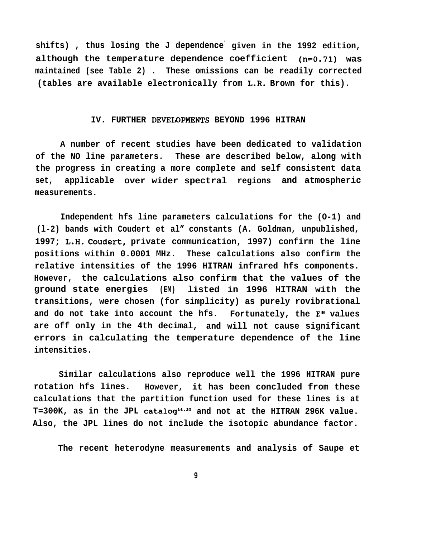**shifts) , thus losing the J dependence' given in the 1992 edition, although the temperature dependence coefficient (n=O.71) was maintained (see Table 2) . These omissions can be readily corrected (tables are available electronically from L.R. Brown for this).**

## IV. FURTHER DEVELOPMENTS BEYOND 1996 HITRAN

**A number of recent studies have been dedicated to validation of the NO line parameters. These are described below, along with the progress in creating a more complete and self consistent data set, applicable over wider spectral regions and atmospheric measurements.**

**Independent hfs line parameters calculations for the (O-1) and (l-2) bands with Coudert et al" constants (A. Goldman, unpublished, 1997; L.H. Coudert, private communication, 1997) confirm the line positions within 0.0001 MHz. These calculations also confirm the relative intensities of the 1996 HITRAN infrared hfs components. However, the calculations also confirm that the values of the ground state energies (EM) listed in 1996 HITRAN with the transitions, were chosen (for simplicity) as purely rovibrational and do not take into account the hfs. Fortunately, the E" values are off only in the 4th decimal, and will not cause significant errors in calculating the temperature dependence of the line intensities.**

**Similar calculations also reproduce well the 1996 HITRAN pure rotation hfs lines. However, it has been concluded from these calculations that the partition function used for these lines is at T=300K, as in the JPL catalogi4'35 and not at the HITRAN 296K value. Also, the JPL lines do not include the isotopic abundance factor.**

**The recent heterodyne measurements and analysis of Saupe et**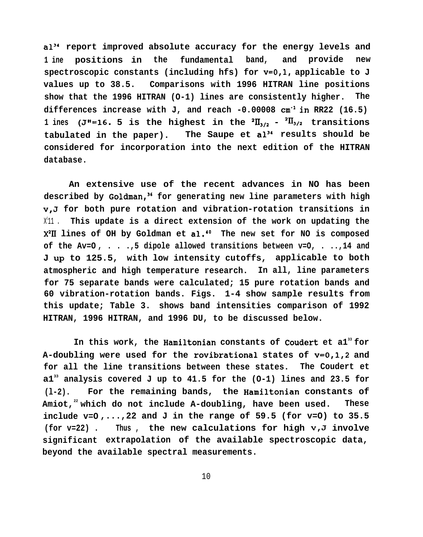**a13d report improved absolute accuracy for the energy levels and 1 ine positions in the fundamental band, and provide new spectroscopic constants (including hfs) for v=O,l, applicable to J values up to 38.5. Comparisons with 1996 HITRAN line positions show that the 1996 HITRAN (O-1) lines are consistently higher. The differences increase with J, and reach -0.00008 cm-l in RR22 (16.5) 1** ines (J<sup>\*</sup>=16. 5 is the highest in the  ${}^{2}II_{1/2}$  -  ${}^{2}II_{3/2}$  transitions **tabulated in the paper). The Saupe et a13' results should be considered for incorporation into the next edition of the HITRAN database.**

**An extensive use of the recent advances in NO has been described by Goldman,3s for generating new line parameters with high v,J for both pure rotation and vibration-rotation transitions in** X 211 . **This update is a direct extension of the work on updating the X2~ lines of OH by Goldman et al.'" The new set for NO is composed of the Av=O , . . .,5 dipole allowed transitions between v=O, . ..,14 and J** Up **to 125.5, with low intensity cutoffs, applicable to both atmospheric and high temperature research. In all, line parameters for 75 separate bands were calculated; 15 pure rotation bands and 60 vibration-rotation bands. Figs. 1-4 show sample results from this update; Table 3. shows band intensities comparison of 1992 HITRAN, 1996 HITRAN, and 1996 DU, to be discussed below.**

**In this work, the Hamiltonian constants of Coudert et a1<sup>33</sup>for A-doubling were used for the rovibrational states of v=0,1,2 and for all the line transitions between these states. The Coudert et a1<sup>33</sup> analysis covered J up to 41.5 for the (O-1) lines and 23.5 for (l-2). For the remaining bands, the Hamiltonian constants of Amiot,<sup>22</sup>which do not include A-doubling, have been used. These** include  $v=0$ ,..., 22 and J in the range of 59.5 (for  $v=0$ ) to 35.5 **(for v=22) . Thus , the new calculations for high v,J involve significant extrapolation of the available spectroscopic data, beyond the available spectral measurements.**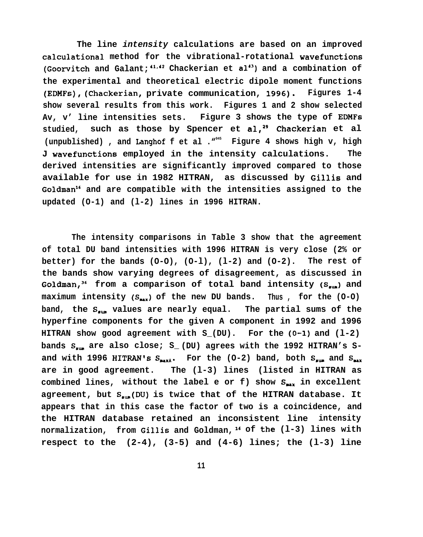**The line intensity calculations are based on an improved calculational method for the vibrational-rotational wavefunctions** (Goorvitch and Galant; <sup>41,42</sup> Chackerian et al<sup>43</sup>) and a combination of **the experimental and theoretical electric dipole moment functions (EDMFs), (Chackerian, private communication, 1996). Figures 1-4 show several results from this work. Figures 1 and 2 show selected Av, v' line intensities sets. Figure 3 shows the type of EDMFs studied, such as those by Spencer et al,29 Chackerian et al (unpublished) , and Langhof f et al ."<sup>045</sup> Figure 4 shows high v, high J wavefunctions employed in the intensity calculations. The derived intensities are significantly improved compared to those available for use in 1982 HITRAN, as discussed by Gillis and Goldmanls and are compatible with the intensities assigned to the updated (O-1) and (l-2) lines in 1996 HITRAN.**

**The intensity comparisons in Table 3 show that the agreement of total DU band intensities with 1996 HITRAN is very close (2% or better) for the bands (O-O), (O-l), (l-2) and (O-2). The rest of the bands show varying degrees of disagreement, as discussed in** Goldman,<sup>36</sup> from a comparison of total band intensity (S<sub>aum</sub>) and **maximum intensity**  $(S_{\text{max}})$  of the new DU bands. Thus, for the  $(0-0)$ band, the S<sub>aum</sub> values are nearly equal. The partial sums of the **hyperfine components for the given A component in 1992 and 1996 HITRAN show good agreement with S\_(DU).** For the  $(0-1)$  and  $(1-2)$ bands S<sub>aum</sub> are also close; S<sub>\_</sub> (DU) agrees with the 1992 HITRAN's Sand with 1996 HITRAN's  $S_{\text{max}}$ . For the  $(0-2)$  band, both  $S_{\text{max}}$  and  $S_{\text{max}}$ **are in good agreement. The (l-3) lines (listed in HITRAN as** combined lines, without the label e or f) show S<sub>anx</sub> in excellent **agreement, but S.m (DU) is twice that of the HITRAN database. It appears that in this case the factor of two is a coincidence, and the HITRAN database retained an inconsistent line intensity normalization, from Gillis and Goldman, is of the (l-3) lines with respect to the (2-4), (3-5) and (4-6) lines; the (l-3) line**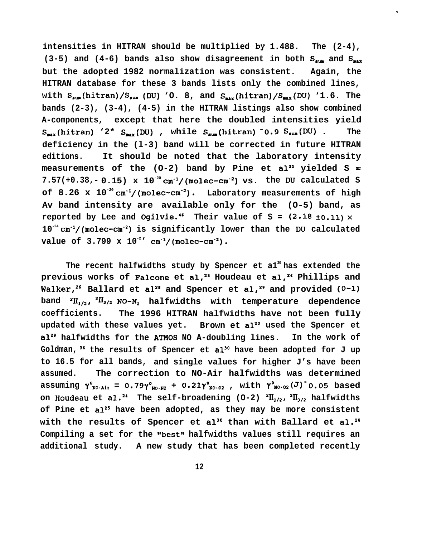**intensities in HITRAN should be multiplied by 1.488. The (2-4),** (3-5) and (4-6) bands also show disagreement in both S<sub>pun</sub> and S<sub>pux</sub> **but the adopted 1982 normalization was consistent. Again, the HITRAN database for these 3 bands lists only the combined lines,** with S<sub>sum</sub>(hitran)/S<sub>sum</sub>(DU) 'O. 8, and S<sub>max</sub>(hitran)/S<sub>max</sub>(DU) '1.6. The **bands (2-3), (3-4), (4-5) in the HITRAN listings also show combined A-components, except that here the doubled intensities yield**  $S_{max}$ (hitran) '2\*  $S_{max}$ (DU), while  $S_{max}$ (hitran) <sup>o</sup>0.9  $S_{max}$ (DU). The **deficiency in the (l-3) band will be corrected in future HITRAN editions. It should be noted that the laboratory intensity** measurements of the  $(0-2)$  band by Pine et  $al^{25}$  yielded S =  $7.57(+0.38,-0.15)$  x  $10^{-20}$  cm<sup>-1</sup>/(molec-cm<sup>-2</sup>) vs. the DU calculated S **of 8.26 x 10-20 cm-1/(molec-cm-2). Laboratory measurements of high Av band intensity are available only for the (O-5) band, as reported by Lee and Ogilvie."** Their value of  $S = (2.18 \pm 0.11) \times$ **10-24 cm-1/(molec-cm"2) is significantly lower than the DU calculated** value of  $3.799 \times 10^{-2}$ <sup>'</sup> cm<sup>-1</sup>/(molec-cm<sup>-2</sup>).

.

**The recent halfwidths study by Spencer et a1<sup>30</sup>has extended the** previous works of Falcone et al,<sup>23</sup> Houdeau et al,<sup>24</sup> Phillips and Walker,<sup>26</sup> Ballard et al<sup>21</sup> and Spencer et al,<sup>29</sup> and provided (0-1)  $\text{band}$  <sup>2</sup> $\text{II}_{1/2}$ , <sup>2</sup> $\text{II}_{3/2}$  NO-N<sub>2</sub> halfwidths with temperature dependence **coefficients. The 1996 HITRAN halfwidths have not been fully** updated with these values yet. Brown et al<sup>20</sup> used the Spencer et **a12g halfwidths for the ATHOS NO A-doubling lines. In the work of Goldman, 36 the results of Spencer et al'" have been adopted for J up to 16.5 for all bands, and single values for higher J's have been assumed. The correction to NO-Air halfwidths was determined assuming**  $\gamma^{0}_{N0 \text{-Ai}}$  **= 0.79** $\gamma^{0}_{N0 \text{-}N2}$  **+ 0.21** $\gamma^{0}_{N0 \text{-}02}$  **, with**  $\gamma^{0}_{N0 \text{-}02}(J)^{=}$  **0.05 based** on Houdeau et al.<sup>24</sup> The self-broadening  $(0-2)$  <sup>2</sup> $\prod_{1/2}$ , <sup>2</sup> $\prod_{2/2}$  halfwidths **of Pine et a125 have been adopted, as they may be more consistent** with the results of Spencer et al<sup>30</sup> than with Ballard et al.<sup>28</sup> Compiling a set for the "best" halfwidths values still requires an **additional study. A new study that has been completed recently**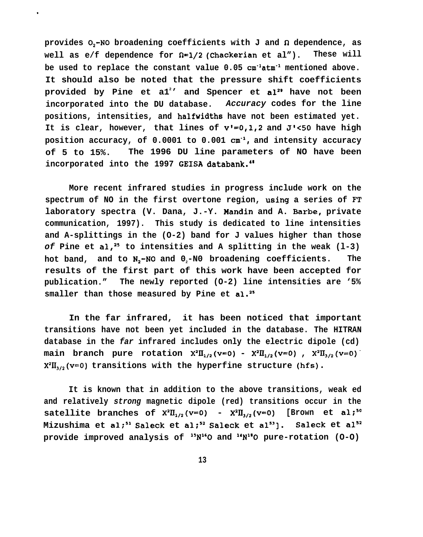provides  $0, -N0$  broadening coefficients with J and  $\Omega$  dependence, as **well as e/f dependence for fi=l/2 (Chackerian et al"). These will** be used to replace the constant value 0.05 cm<sup>-1</sup>atm<sup>-1</sup> mentioned above. **It should also be noted that the pressure shift coefficients provided by Pine et a1<sup>2</sup> ' and Spencer et al" have not been incorporated into the DU database. Accuracy codes for the line positions, intensities, and halfwidths have not been estimated yet. It is clear, however, that lines of v'=0,1,2 and J'<50 have high position accuracy, of 0.0001 to 0.001 cm-l, and intensity accuracy of 5 to 15%. The 1996 DU line parameters of NO have been incorporated into the 1997 GEISA databank.4'**

.

**More recent infrared studies in progress include work on the spectrum of NO in the first overtone region, using a series of FT laboratory spectra (V. Dana, J.-Y. Handin and A. Barbe, private communication, 1997). This study is dedicated to line intensities and A-splittings in the (O-2) band for J values higher than those of Pine et al,2s to intensities and A splitting in the weak (l-3) hot band, and to N2-N0 and 02-N0 broadening coefficients. The results of the first part of this work have been accepted for publication." The newly reported (O-2) line intensities are '5% smaller than those measured by Pine et al.2s**

**In the far infrared, it has been noticed that important transitions have not been yet included in the database. The HITRAN database in the far infrared includes only the electric dipole (cd)** main branch pure rotation  $X^2\Pi_{1/2}(v=0) - X^2\Pi_{1/2}(v=0)$ ,  $X^2\Pi_{3/2}(v=0)$  $X^{2}$ U<sub>3/2</sub>(v=0) transitions with the hyperfine structure (hfs).

**It is known that in addition to the above transitions, weak ed and relatively strong magnetic dipole (red) transitions occur in the satellite branches of**  $X^2 \Pi_{1/2} (v=0)$  **-**  $X^2 \Pi_{3/2} (v=0)$  **[Brown et al;<sup>50</sup>]** Mizushima et al;<sup>51</sup> Saleck et al;<sup>52</sup> Saleck et al<sup>53</sup>]. Saleck et al<sup>52</sup> **provide improved analysis of l'Nl'O and "N"O pure-rotation (O-O)**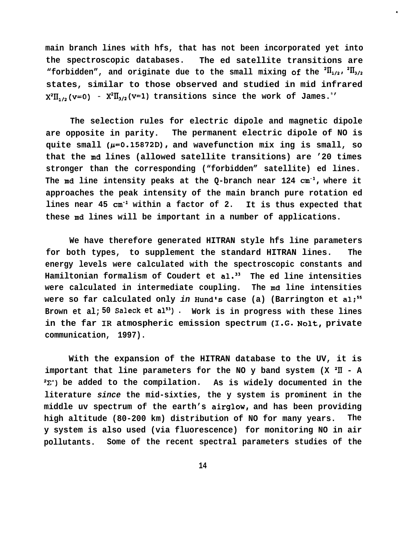**main branch lines with hfs, that has not been incorporated yet into the spectroscopic databases. The ed satellite transitions are** "forbidden", and originate due to the small mixing of the  ${}^{2}$  $\mathbf{I}_{1/2}$ ,  ${}^{2}$  $\mathbf{I}_{3/2}$ **states, similar to those observed and studied in mid infrared**  $X^2II_{1/2}(v=0) - X^2II_{3/2}(v=1)$  transitions since the work of James.<sup>9</sup>'

.

**The selection rules for electric dipole and magnetic dipole are opposite in parity. The permanent electric dipole of NO is** quite small ( $\mu$ =0.15872D), and wavefunction mix ing is small, so **that the md lines (allowed satellite transitions) are '20 times stronger than the corresponding ("forbidden" satellite) ed lines. The md line intensity peaks at the Q-branch near 124 cm-l, where it approaches the peak intensity of the main branch pure rotation ed lines near 45 cm-l within a factor of 2. It is thus expected that these md lines will be important in a number of applications.**

**We have therefore generated HITRAN style hfs line parameters for both types, to supplement the standard HITRAN lines. The energy levels were calculated with the spectroscopic constants and Hamiltonian formalism of Coudert et al.33 The ed line intensities were calculated in intermediate coupling. The md line intensities** were so far calculated only *in* Hund's case (a) (Barrington et al;<sup>55</sup> **Brown et al; 50 Saleck et a153) . Work is in progress with these lines in the far IR atmospheric emission spectrum (1.G. Nolt, private communication, 1997).**

**With the expansion of the HITRAN database to the UV, it is important that line parameters for the NO y band system (X 'II - A 2X') be added to the compilation. As is widely documented in the literature since the mid-sixties, the y system is prominent in the** middle uv spectrum of the earth's airglow, and has been providing **high altitude (80-200 km) distribution of NO for many years. The y system is also used (via fluorescence) for monitoring NO in air pollutants. Some of the recent spectral parameters studies of the**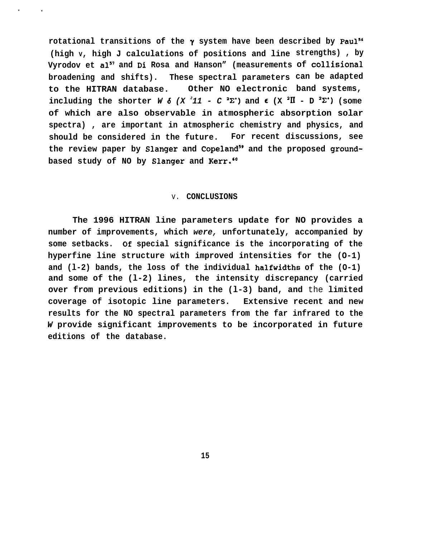rotational transitions of the  $\gamma$  system have been described by Paul<sup>56</sup> **(high V, high J calculations of positions and line strengths) , by** Vyrodov et al<sup>57</sup> and Di Rosa and Hanson" (measurements of collisional **broadening and shifts). These spectral parameters can be adapted** to the HITRAN database. Other NO electronic band systems, including the shorter  $W \delta$  (X<sup>2</sup> $11 - C$ <sup>2</sup> $\Sigma$ <sup>\*</sup>) and  $\epsilon$  (X<sup>2</sup> $\overline{II}$  - D<sup>2</sup> $\Sigma$ <sup>\*</sup>) (some **of which are also observable in atmospheric absorption solar spectra) , are important in atmospheric chemistry and physics, and should be considered in the future. For recent discussions, see** the review paper by Slanger and Copeland<sup>59</sup> and the proposed groundbased study of NO by Slanger and Kerr.<sup>60</sup>

#### v. **CONCLUSIONS**

**The 1996 HITRAN line parameters update for NO provides a number of improvements, which were, unfortunately, accompanied by some setbacks. Of special significance is the incorporating of the hyperfine line structure with improved intensities for the (O-1) and (l-2) bands, the loss of the individual halfwidths of the (O-1) and some of the (l-2) lines, the intensity discrepancy (carried over from previous editions) in the (l-3) band, and** the **limited coverage of isotopic line parameters. Extensive recent and new results for the NO spectral parameters from the far infrared to the W provide significant improvements to be incorporated in future editions of the database.**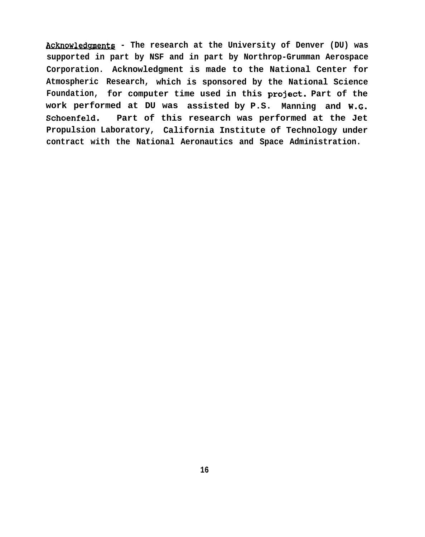Acknowledgments - The research at the University of Denver (DU) was **supported in part by NSF and in part by Northrop-Grumman Aerospace Corporation. Acknowledgment is made to the National Center for Atmospheric Research, which is sponsored by the National Science Foundation, for computer time used in this project. Part of the work performed at DU was assisted by P.S. Manning and W.G. Schoenfeld. Part of this research was performed at the Jet Propulsion Laboratory, California Institute of Technology under contract with the National Aeronautics and Space Administration.**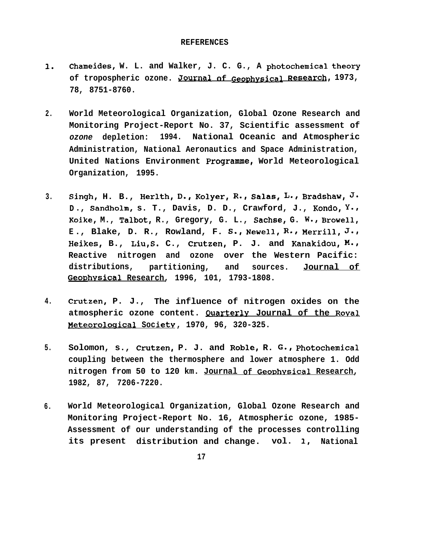#### **REFERENCES**

- 1. **Chameides, W. L. and Walker, J. C. G., A photochemical theoq** of tropospheric ozone. Journal of Geophysical Research, 1973, **78, 8751-8760.**
- **2. World Meteorological Organization, Global Ozone Research and Monitoring Project-Report No. 37, Scientific assessment of ozone depletion: 1994. National Oceanic and Atmospheric Administration, National Aeronautics and Space Administration, United Nations Environment Programme, World Meteorological Organization, 1995.**
- 3. Singh, H. B., Herlth, D., Kolyer, R., Salas, L., Bradshaw, J. **D., Sandholm, s. T., Davis, D. D., Crawford, J., Kondo, Y., Koike, M., Talbot, R., Gregory, G. L., Sachse, G. w., Browell~ E ., Blake, D. R., Rowland, F. S.~ Newell, R=~ Merrill~ J.# Heikes, B., Liu,S. C., Crutzen, P. J. and Kanakidou, M=~ Reactive nitrogen and ozone over the Western Pacific: distributions, partitioning, and sources. Journal of GeoDhvsical Research, 1996, 101, 1793-1808.**
- **4. Crutzen, P. J., The influence of nitrogen oxides on the atmospheric ozone content. Quarterlv Journal of the Roval )4eteoroloaical Societv , 1970, 96, 320-325.**
- 5. **Solomon, s., Crutzen, P. J. and Roble, R. G., Photochemical coupling between the thermosphere and lower atmosphere 1. Odd nitrogen from 50 to 120 km. Journal of GeoDhvsical Research, 1982, 87, 7206-7220.**
- **6. World Meteorological Organization, Global Ozone Research and Monitoring Project-Report No. 16, Atmospheric ozone, 1985- Assessment of our understanding of the processes controlling its present distribution and change. vol. 1, National**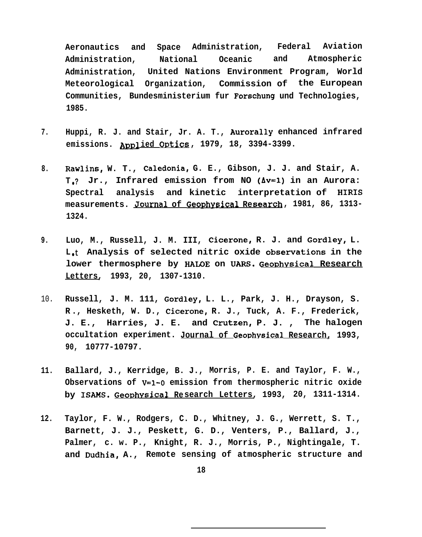**Aeronautics and Space Administration, Federal Aviation Administration, National Oceanic and Atmospheric Administration, United Nations Environment Program, World Meteorological Organization, Commission of the European Communities, Bundesministerium fur Forschung und Technologies, 1985.**

- **7. Huppi, R. J. and Stair, Jr. A. T., Aurorally enhanced infrared emissions. ADD1 ied Ovtics , 1979, 18, 3394-3399.**
- **8. Rawlins, W. T., Caledonia, G. E., Gibson, J. J. and Stair, A. T** ● **? Jr., Infrared emission from NO (Av=l) in an Aurora: Spectral analysis and kinetic interpretation of HIRIS measurements. Journal of Gec@ysical Research , 1981, 86, 1313- 1324.**
- **9. Luo, M., Russell, J. M. III, Cicerone, R. J. and Gordley, L.** L<sub>it</sub> Analysis of selected nitric oxide observations in the lower thermosphere by HALOE on UARS. Geophysical Research **Letters, 1993, 20, 1307-1310.**
- 10. **Russell, J. M. 111, Gordley, L. L., Park, J. H., Drayson, S. R ., Hesketh, W. D., Cicerone, R. J., Tuck, A. F., Frederick, J. E., Harries, J. E. and Crutzen, P. J. , The halogen** occultation experiment. Journal of Geophysical Research, 1993, **90, 10777-10797.**
- **11. Ballard, J., Kerridge, B. J., Morris, P. E. and Taylor, F. W., Observations of V=l-O emission from thermospheric nitric oxide by ISAMS. Geo~hvsical Research Letters, 1993, 20, 1311-1314.**
- **12. Taylor, F. W., Rodgers, C. D., Whitney, J. G., Werrett, S. T., Barnett, J. J., Peskett, G. D., Venters, P., Ballard, J., Palmer, c. w. P., Knight, R. J., Morris, P., Nightingale, T. and Dudhia, A., Remote sensing of atmospheric structure and**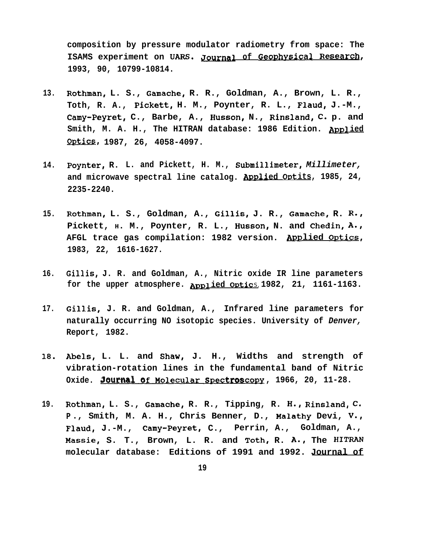**composition by pressure modulator radiometry from space: The ISAMS** experiment on UARS. Journal of Geophysical Research, **1993, 90, 10799-10814.**

- **13. Rothman, L. S., Gamache, R. R., Goldman, A., Brown, L. R., Toth, R. A., Pickett, H. M., Poynter, R. L., Flaud, J.-M., Camy-Peyret, C., Barbe, A., Husson, N., Rinsland~ C. p. and** Smith, M. A. H., The HITRAN database: 1986 Edition. Applied **QE&ilZS, 1987, 26, 4058-4097.**
- **14. Poynter, R. L. and Pickett, H. M., Submillimeter, Millimeter,** and microwave spectral line catalog. Applied Optits, 1985, 24, **2235-2240.**
- **15. Rothman, L. S., Goldman, A., Gillis, J. R., Gamache~ R. R., Pickett, H. M., Poynter, R. L., Husson, N. and Chedin, A., AFGL trace gas compilation: 1982 version. ADDlied Ortics, 1983, 22, 1616-1627.**
- **16. Gillis, J. R. and Goldman, A., Nitric oxide IR line parameters** for the upper atmosphere. **Applied Optics** 1982, 21, 1161-1163.
- **17. Gill.is, J. R. and Goldman, A., Infrared line parameters for naturally occurring NO isotopic species. University of Denver, Report, 1982.**
- **18. Abels, L. L. and Shaw, J. H., Widths and strength of vibration-rotation lines in the fundamental band of Nitric**
- and microwave spectral line catalog. Applied Ortits, 1985, 2<br>
2235-2240.<br>
Rothman, L. S., Goldman, A., Gillis, J. R., Gamache, R. F<br>
Pickett, H. M., Poynter, R. L., Husson, N. and Chedin, A<br>
AFGL trace gas compilation: 198 **19. Rothman, L. S., Gamache, R. R., Tipping, R. H.~ Rinsland, C. P ., Smith, M. A. H., Chris Benner, D., Malathy Devi, V., Flaud, J.-M., Camy-Peyret, C., Perrin, A., Goldman, A.,** Massie, S. T., Brown, L. R. and Toth, R. A., The HITRAN **molecular database: Editions of 1991 and 1992. Journal of**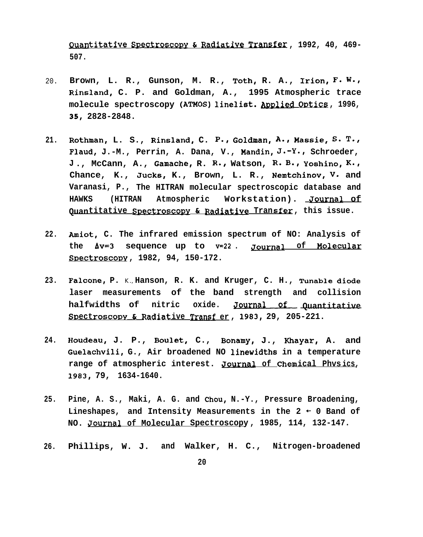**tltatlve . \* Spectrosco!w & Ratitlve ., T~, 1992, 40, 469- 507.**

- 20. **Brown, L. R., Gunson, M. R., Toth, R. A., Irion, F. W.,**  $R$ insland, C. P. and Goldman, A., 1995 Atmospheric trace<br>molecule spectroscopy (ATMOS) linelist. <u>Applied Optics</u>, 1996, molecule spectroscopy (ATMOS) linelist. Applied Optics, 1996, **35, 2828-2848.**
- **21. Rothman, L. S., Rinsland, C. P., Gol~an, A=~ Massie~ S= T.~ Flaud, J.-M., Perrin, A. Dana, V., Mandin~ J.-y.~ Schroeder, J ., McCann, A., Gamacher R. R.~ Watson, R= B=~ yoshino~ K=, Chance, K., Jucks, K., Brown, L. R., Nemtchinov, v. and Varanasi, P., The HITRAN molecular spectroscopic database and HAWKS (HITRAN Atmospheric Workstation). Journal of Quantitative S~ectroscc@v & Rada@ive . Transfer , this issue.**
- **22. Amiot, C. The infrared emission spectrum of NO: Analysis of the AV=3 sequence up to V=22 . gournal of Molecular S~ectroscorw , 1982, 94, 150-172.**
- **23. Falcone, P.** K., **Hanson, R. K. and Kruger, C. H., Tunable diode laser measurements of the band strength and collision** Amiot, C. The infrared emission spectrum of NO: Analysis of<br>the Av=3 sequence up to v=22. <u>Journal of Molecular</u><br>Spectroscopy, 1982, 94, 150-172.<br>Falcone, P. K., Hanson, R. K. and Kruger, C. H., Tunable diode<br>laser measure St) & **Radlat . ectroscoDY ive Tr~sf er , 1983, 29, 205-221.**
- **24. Houdeau, J. P., Boulet, C., Bonamy, J., Khayar, A. and Guelachvili, G., Air broadened NO linewidths in a temperature** range of atmospheric interest. Journal of Chemical Phvsics, **1983, 79, 1634-1640.**
- **25. Pine, A. S., Maki, A. G. and Chou, N.-Y., Pressure Broadening, Lineshapes, and Intensity Measurements in the 2 - 0 Band of NO. pournal of Molecular Spectroscopy , 1985, 114, 132-147.**
- **26. Phillips, W. J. and Walker, H. C., Nitrogen-broadened**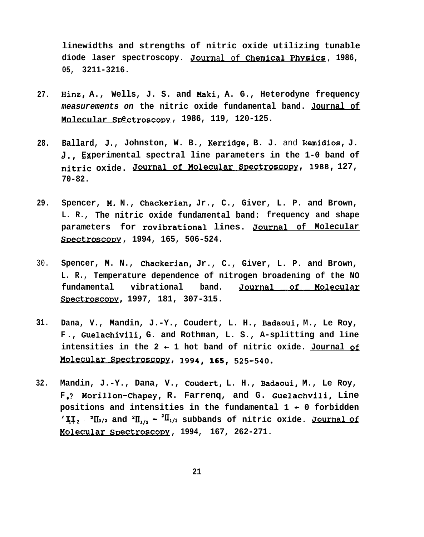**linewidths and strengths of nitric oxide utilizing tunable** diode laser spectroscopy. <u>Journal of Chemical Physics</u>, 1986, **05, 3211-3216.**

- **27. Hinz, A., Wells, J. S. and Maki, A. G., Heterodyne frequency measurements on the nitric oxide fundamental band. Journal of Molecular SDe ctroscopv , 1986, 119, 120-125.**
- **28. Ballard, J., Johnston, W. B.,** Kerridge, **B. J.** and Remidios, **J. J Experimental spectral line parameters in the 1-0 band of** 05, 3211-3216.<br>
Hinz, A., Wells, J. S. and Maki, A. G., Heterodyne frequency<br>
measurements on the nitric oxide fundamental band. <u>Journal of</u><br>
Molecular Spectroscopy, 1986, 119, 120-125.<br>
Ballard, J., Johnston, W. B., Kerr **70-82.**
- **29. Spencer, M. N., Chackerian, Jr., C., Giver, L. P. and Brown, L. R., The nitric oxide fundamental band: frequency and shape parameters for rovibrational lines. Journal of Molecular SvectroSCODY , 1994, 165, 506-524.**
- 30. **Spencer, M. N., Chackerian, Jr., C., Giver, L. P. and Brown, L. R., Temperature dependence of nitrogen broadening of the NO ~ectroscorw, 1997, 181, 307-315. fundamental** ric oxide rundamental band: frequency and shape<br> **r** rovibrational lines. <u>Journal of Molecular</u><br>
1994, 165, 506-524.<br>
, Chackerian, Jr., C., Giver, L. P. and Brown,<br>
ure dependence of nitrogen broadening of the NO<br>
vibrat
- **31. Dana, V., Mandin, J.-Y., Coudert, L. H., Badaoui, M., Le Roy, F ., Guelachivili, G. and Rothman, L. S., A-splitting and line** Spectroscopy, 1997, 181<br>Dana, V., Mandin, J.-Y.<br>F., Guelachivili, G. and<br>intensities in the 2 +<br>Molecular Spectroscopy,<br>Mandin, J.-Y., Dana, V. intensities in the  $2 + 1$  hot band of nitric oxide. Journal of **1994, 165, 525-540=**
- **32. Mandin, J.-Y., Dana, V., Coudert, L. H., Badaoui, M., Le Roy, F** ● **? Morillon-Chapey, R. Farrenq, and G. Guelachvili, Line** positions and intensities in the fundamental  $1 + 0$  forbidden 'II,  $\int$  <sup>2</sup>II<sub>2</sub>/2 and <sup>2</sup>II<sub>1/2</sub>  $\sim$  <sup>2II</sup><sub>1</sub>/<sub>2</sub> subbands of nitric oxide. Journal of **l!olecular SDectroscopv , 1994, 167, 262-271.**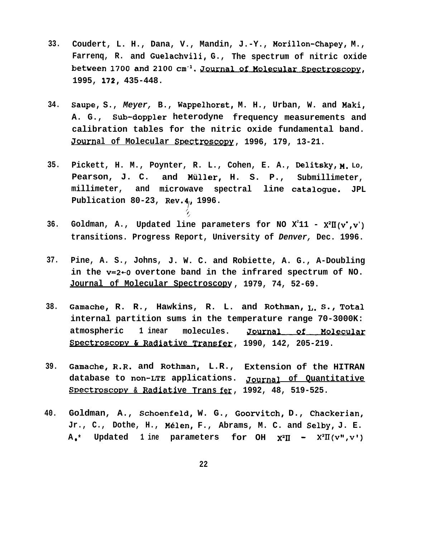- $33.$ Coudert, L. H., Dana, V., Mandin, J.-Y., Morillon-Chapey, M., Farreng, R. and Guelachvili, G., The spectrum of nitric oxide between 1700 and 2100 cm<sup>-1</sup>. Journal of Molecular Spectroscopy, 1995, 172, 435-448.
- Saupe, S., Meyer, B., Wappelhorst, M. H., Urban, W. and Maki, 34. A. G., Sub-doppler heterodyne frequency measurements and calibration tables for the nitric oxide fundamental band. Journal of Molecular Spectroscopy, 1996, 179, 13-21.
- Pickett, H. M., Poynter, R. L., Cohen, E. A., Delitsky, M. Lo,  $35.$ Pearson, J. C. and Müller, H. S. P., Submillimeter, millimeter, and microwave spectral line catalogue. JPL Publication 80-23, Rev.4, 1996.
- $36.$ Goldman, A., Updated line parameters for NO  $X^211 - X^2II(v^*, v^*)$ transitions. Progress Report, University of Denver, Dec. 1996.
- Pine, A. S., Johns, J. W. C. and Robiette, A. G., A-Doubling  $37.$ in the v=2+0 overtone band in the infrared spectrum of NO. Journal of Molecular Spectroscopy, 1979, 74, 52-69.
- Gamache, R. R., Hawkins, R. L. and Rothman, I. S., Total 38. internal partition sums in the temperature range 70-3000K: atmospheric 1 inear molecules. Journal of Molecular Spectroscopy & Radiative Transfer, 1990, 142, 205-219.
- $39.$ Gamache, R.R. and Rothman, L.R., Extension of the HITRAN database to non-LTE applications. Journal of Quantitative Spectroscopy & Radiative Trans fer, 1992, 48, 519-525.
- Goldman, A., Schoenfeld, W. G., Goorvitch, D., Chackerian, 40. Jr., C., Dothe, H., Mélen, F., Abrams, M. C. and Selby, J. E.  $A_{\bullet}$ \* Updated 1 ine parameters for OH  $X^2\Pi$  -  $X^2\Pi$ (v",v')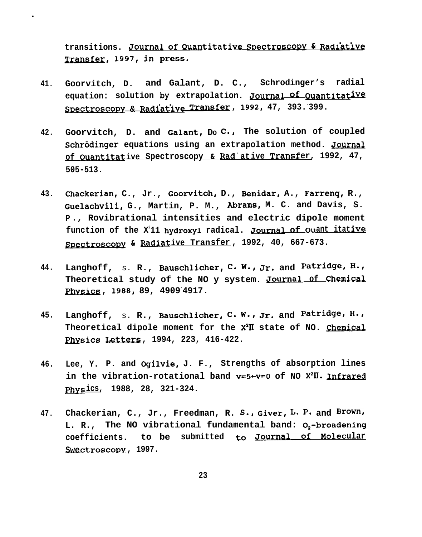transitions. Journal of Quantitative Spectroscopy & Radiative Transfer, 1997, in press.

- Goorvitch, D. and Galant, D. C., Schrodinger's radial 41. equation: solution by extrapolation. Journal Of Quantitative Spectroscopy & Radiative Transfer, 1992, 47, 393.399.
- Goorvitch, D. and Galant, Do C., The solution of coupled 42. Schrödinger equations using an extrapolation method. Journal of Ouantitative Spectroscopy & Rad'ative Transfer, 1992, 47,  $505 - 513.$
- Chackerian, C., Jr., Goorvitch, D., Benidar, A., Farreng, R., 43. Guelachvili, G., Martin, P. M., Abrams, M. C. and Davis, S. P., Rovibrational intensities and electric dipole moment function of the X<sup>2</sup>11 hydroxyl radical. Journal of Quant itative Spectroscopy & Radiative Transfer, 1992, 40, 667-673.
- Langhoff, s. R., Bauschlicher, C. W., Jr. and Patridge, H., 44. Theoretical study of the NO y system. Journal of Chemical Physics, 1988, 89, 4909 4917.
- Langhoff, s. R., Bauschlicher, C. W., Jr. and Patridge, H., 45. Theoretical dipole moment for the X<sup>2</sup>II state of NO. Chemical Physics Letters, 1994, 223, 416-422.
- Lee, Y. P. and Ogilvie, J. F., Strengths of absorption lines 46. in the vibration-rotational band  $v=5+v=0$  of NO  $X^2II$ . Infrared Physics, 1988, 28, 321-324.
- Chackerian, C., Jr., Freedman, R. S., Giver, L. P. and Brown, 47. L. R., The NO vibrational fundamental band: 0,-broadening coefficients. to be submitted to Journal of Molecular Swectroscopy, 1997.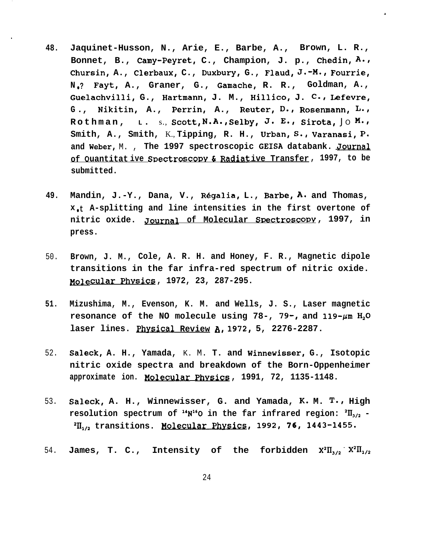**48. Jaquinet-Husson, N., Arie, E., Barbe, A., Brown, L. R., Bonnet, B., Camy-Peyret, C., Champion, J. p., Chedin, A., Chursin, A., Clerbaux, C., Duxbury, G.,** FlaUd~ **J.-M.~ Fourrie/ N** ● **? Fayt, A., Graner, G., Gamache, R. R., Goldman, A., Guelachvilli, G., Hartmann, J. M., Hillico, J. C., Lefevre,** G., Nikitin, A., Perrin, A., Reuter, D., Rosenmann, L., **Rothman, L.** s., Scott, N.A., Selby, J. E., Sirota, Jo M., **Smith, A., Smith,** K., **Tipping, R. H., Urban~ s., Varanasi, p. and Weber,** M. , **The 1997 spectroscopic GEISA databank. Journal of Quantitative Spectroscopy & Radiative Transfer, 1997, to be submitted.**

.

- **49. Mandin, J.-Y., Dana, V., R6galia, L., Barbe, A= and Thomas, x** ● **<sup>t</sup> A-splitting and line intensities in the first overtone of nitric oxide. Journal** of Molecular Spectroscopy, 1997, in **press.**
- 50. **Brown, J. M., Cole, A. R. H. and Honey, F. R., Magnetic dipole transitions in the far infra-red spectrum of nitric oxide. Molecular Phvsic~ , 1972, 23, 287-295.**
- **51. Mizushima, M., Evenson, K. M. and Wells, J. S., Laser magnetic** resonance of the NO molecule using  $78 - 79 - 79$ , and  $119 - \mu m$   $H_2O$ **laser lines. Physical Review A, 1972, 5, 2276-2287.**
- 52. **Saleck, A. H., Yamada,** K. M. **T. and Winnewisser, G., Isotopic nitric oxide spectra and breakdown of the Born-Oppenheimer approximate ion. Molecular Phvslc~ . , 1991, 72, 1135-1148.**
- 53. **Saleck, A. H., Winnewisser, G. and Yamada, K. M. T., High** resolution spectrum of  $\mathbf{H}_{N}^{16}$  in the far infrared region:  ${}^{2}II_{3/2}$  -<sup>2</sup>II<sub>1/2</sub> transitions. Molecular Physics, 1992, 76, 1443-1455.
- 54. **James, T. C.,** Intensity of the forbidden  $X^2\Pi_{3/2}$   $X^2\Pi_{1/2}$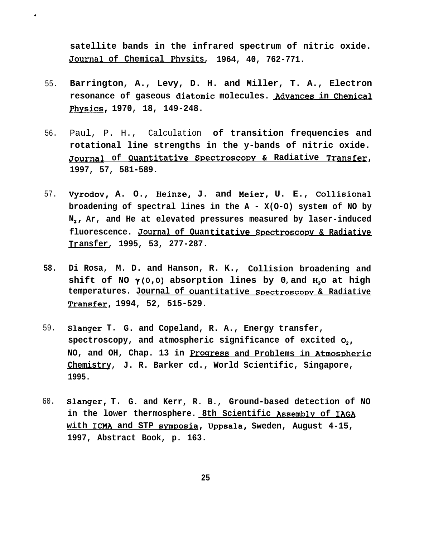**satellite bands in the infrared spectrum of nitric oxide. Journal of Chemical PhYsits, 1964, 40, 762-771.**

55. **Barrington, A., Levy, D. H. and Miller, T. A., Electron resonance of gaseous diatomic molecules. Advances in Chemical phvsics, 1970, 18, 149-248.**

,

- 56. Paul, P. H., Calculation **of transition frequencies and rotational line strengths in the y-bands of nitric oxide. Journal Quwltatlve , <sup>0</sup> of SDeCtrOSCODY & Radiative Transfer, 1997, 57, 581-589.**
- 57. **Vyrodov, A. O., Heinze, J. and Meier, U. E., Collisional broadening of spectral lines in the A - X(O-O) system of NO by N<sup>28</sup> Ar, and He at elevated pressures measured by laser-induced fluorescence. Journal of Quantitative SDectroscot3 v & Radiative Transfer, 1995, 53, 277-287.**
- **58. Di Rosa, M. D. and Hanson, R. K., Collision broadening and shift of NO y(O,O) absorption lines by 02 and HZO at high** temperatures. Journal of Quantitative Spectroscopy & Radiative **Yransfer, 1994, 52, 515-529.**
- 59. **Slanger T. G. and Copeland, R. A., Energy transfer, spectroscopy, and atmospheric significance of excited Oz,** NO, and OH, Chap. 13 in **Progress** and Problems in Atmospheric **Chemistry, J. R. Barker cd., World Scientific, Singapore, 1995.**
- 60. **Slanger, T. G. and Kerr, R. B., Ground-based detection of NO in the lower thermosphere. 8th Scientific Assemblv of IAGA with ICHA and STP svnmosia, Uppsala, Sweden, August 4-15, 1997, Abstract Book, p. 163.**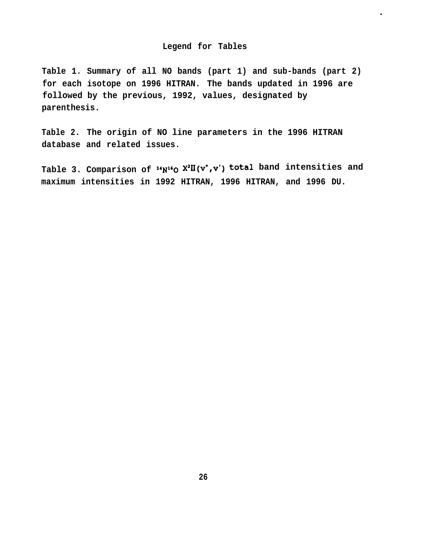### **Legend for Tables**

.

**Table 1. Summary of all NO bands (part 1) and sub-bands (part 2) for each isotope on 1996 HITRAN. The bands updated in 1996 are followed by the previous, 1992, values, designated by parenthesis.**

**Table 2. The origin of NO line parameters in the 1996 HITRAN database and related issues.**

Table 3. Comparison of  $14N^16$   $X^2II(V^*,V^*)$  total band intensities and **maximum intensities in 1992 HITRAN, 1996 HITRAN, and 1996 DU.**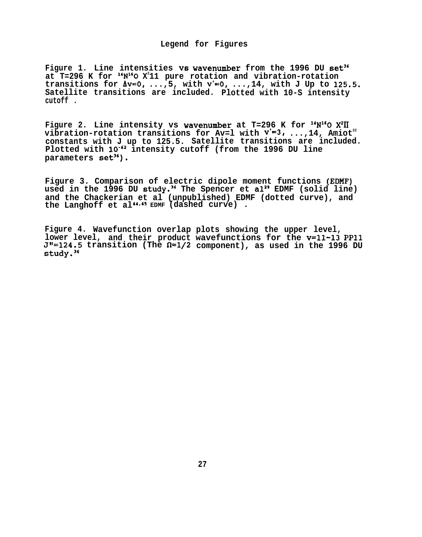### **Legend for Figures**

Figure 1. Line intensities vs wavenumber from the 1996 DU set<sup>36</sup> **at T=296 K for "N160 X<sup>2</sup> 11 pure rotation and vibration-rotation transitions for Av=o, ...,5, with v'=O, ...,14, with J Up to** 125.5. **Satellite transitions are included. Plotted with 10-S intensity cutoff .**

**Figure 2. Line intensity vs wavenumber at T=296 K for "N160 X2H** vibration-rotation transitions for Av=1 with  $v'=3$ , ..., 14, Amiot<sup>22</sup> **constants with J up to 125.5. Satellite transitions are included. Plotted with 10-62 intensity cutoff (from the 1996 DU line parameters set3g).**

**Figure 3. Comparison of electric dipole moment functions (EDMF)** used in the 1996 DU study.<sup>36</sup> The Spencer et al<sup>29</sup> EDMF (solid line) **and the Chackerian et al (unpublished) EDMF (dotted curve), and the Langhoff et al44'4S EDMF (dashed curve) .**

**Figure 4. Wavefunction overlap plots showing the upper level, lower level, and their product wavefunctions for the v=ll-13 PP1l J"=124.5 transition (The fl=l/2 component), as used in the 1996 DU study.3g**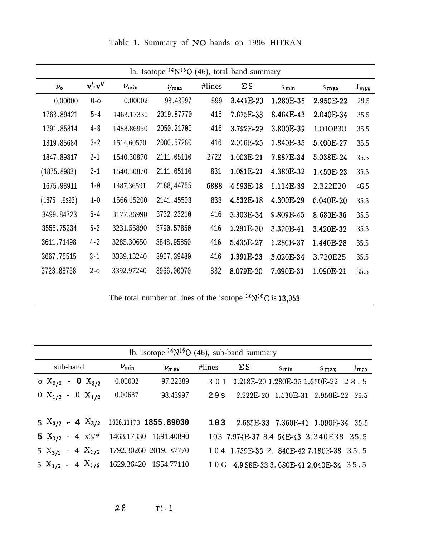|               |              |              | la. Isotope $^{14}N^{16}O$ (46), total band summary |        |            |                  |            |                  |
|---------------|--------------|--------------|-----------------------------------------------------|--------|------------|------------------|------------|------------------|
| $\nu_{\rm o}$ | $v'$ - $v''$ | $\nu_{\min}$ | $\nu_{\text{max}}$                                  | #lines | $\Sigma S$ | S <sub>min</sub> | $S_{\max}$ | $J_{\text{max}}$ |
| 0.00000       | $0-o$        | 0.00002      | 98.43997                                            | 599    | 3.441E-20  | 1.280E-35        | 2.950E-22  | 29.5             |
| 1763.89421    | $5 - 4$      | 1463.17330   | 2019.87770                                          | 416    | 7.675E-33  | 8.464E-43        | 2.040E-34  | 35.5             |
| 1791.85814    | $4 - 3$      | 1488.86950   | 2050.21700                                          | 416    | 3.792E-29  | 3.800E-39        | 1.010B30   | 35.5             |
| 1819.85684    | $3 - 2$      | 1514,60570   | 2080.57280                                          | 416    | 2.016E-25  | 1.840E-35        | 5.400E-27  | 35.5             |
| 1847.89817    | $2 - 1$      | 1540.30870   | 2111.05110                                          | 2722   | 1.003E-21  | 7.887E-34        | 5.038E-24  | 35.5             |
| (1875.8983)   | $2 - 1$      | 1540.30870   | 2111.05110                                          | 831    | 1.081E-21  | 4.380E-32        | 1.450E-23  | 35.5             |
| 1675.98911    | $1 - 0$      | 1487.36591   | 2188, 44755                                         | 6888   | 4.593E-18  | 1.114E-39        | 2.322E20   | 4G.5             |
| (1875.9s93)   | $1-0$        | 1566.15200   | 2141.45503                                          | 833    | 4.532E-18  | 4.300E-29        | 6.040E-20  | 35.5             |
| 3499.84723    | $6 - 4$      | 3177.86990   | 3732.23210                                          | 416    | 3.303E-34  | 9.809E-45        | 8.680E-36  | 35.5             |
| 3555.75234    | $5 - 3$      | 3231.55890   | 3790.57850                                          | 416    | 1.291E-30  | 3.320E-41        | 3.420E-32  | 35.5             |
| 3611.71498    | $4 - 2$      | 3285.30650   | 3848.95850                                          | 416    | 5.435E-27  | 1.280E-37        | 1.440E-28  | 35.5             |
| 3667.75515    | $3 - 1$      | 3339.13240   | 3907.39480                                          | 416    | 1.391E-23  | 3.020E-34        | 3.720E25   | 35.5             |
| 3723.88758    | $2-0$        | 3392.97240   | 3966.00070                                          | 832    | 8.079E-20  | 7.690E-31        | 1.090E-21  | 35.5             |

Table 1. Summary of NO bands on 1996 HITRAN

The total number of lines of the isotope  $14N^{16}O$  is 13,953

|                                                |              | lb. Isotope $14N^{16}O$ (46), sub-band summary  |           |                                            |                  |         |                  |
|------------------------------------------------|--------------|-------------------------------------------------|-----------|--------------------------------------------|------------------|---------|------------------|
| sub-band                                       | $\nu_{\min}$ | $\nu_{\rm max}$                                 | $\#lines$ | $\Sigma S$                                 | $S_{\text{min}}$ | $S$ max | $J_{\text{max}}$ |
| o $X_{3/2}$ – 0 $X_{3/2}$                      | 0.00002      | 97.22389                                        |           | 3 0 1 1.218E-20 1.280E-35 1.650E-22 28.5   |                  |         |                  |
| $0 X_{1/2} - 0 X_{1/2}$                        | 0.00687      | 98.43997 29s 2.222E-20 1.530E-31 2.950E-22 29.5 |           |                                            |                  |         |                  |
|                                                |              |                                                 |           |                                            |                  |         |                  |
| $5 X_{3/2} - 4 X_{3/2}$ 1626.11170 1855.89030  |              |                                                 |           | 103 2.685E-33 7.360E-41 1.090E-34 35.5     |                  |         |                  |
| 5 $X_{1/2}$ - 4 $x3/*$ 1463.17330 1691.40890   |              |                                                 |           | 103 7.974E-37 8.4 64E-43 3.340E38 35.5     |                  |         |                  |
| $5 X_{3/2} - 4 X_{1/2}$ 1792.30260 2019. s7770 |              |                                                 |           | 104 1.739E-36 2. 840E-42 7.180E-38 35.5    |                  |         |                  |
| $5 X_{1/2} - 4 X_{1/2}$ 1629.36420 1S54.77110  |              |                                                 |           | 1 0 G 4.9 SSE-33 3. 680E-41 2.040E-34 35.5 |                  |         |                  |

 $28$  $T1-1$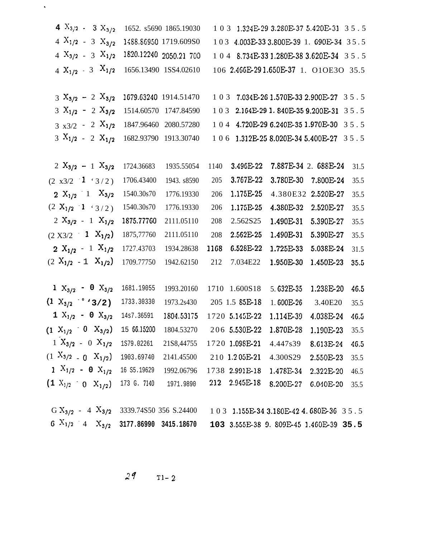| 4 $X_{3/2}$ - 3 $X_{3/2}$                                                               |             | 1652. s5690 1865.19030    |      |                | 1 0 3 1.324E-29 3.280E-37 5.420E-31 3 5 .5  |                      |      |
|-----------------------------------------------------------------------------------------|-------------|---------------------------|------|----------------|---------------------------------------------|----------------------|------|
| $4 X_{1/2} - 3 X_{3/2}$                                                                 |             | 1488.86950 1719.609S0     |      |                | 103 4.003E-33 3.800E-39 1. 690E-34 35.5     |                      |      |
| $4 X_{3/2} - 3 X_{1/2}$                                                                 |             | 1820.12240 2050.21 700    |      |                | 1 0 4 8.734E-33 1.280E-38 3.620E-34 3 5 .5  |                      |      |
| $4 X_{1/2} - 3 X_{1/2}$                                                                 |             | 1656.13490 1SS4.02610     |      |                | 106 2.466E-291.650E-37 1. O1OE3O 35.5       |                      |      |
| $3 X_{3/2} - 2 X_{3/2}$                                                                 |             | 1679.63240 1914.51470     |      |                | 1 0 3 7.034E-26 1.570E-33 2.900E-27 3 5 .5  |                      |      |
| $3 X_{1/2} - 2 X_{3/2}$                                                                 |             | 1514.60570 1747.84590     |      |                | 103 2.164E-29 1.840E-35 9.200E-31 35.5      |                      |      |
| $3 x3/2 - 2 X_{1/2}$                                                                    |             | 1847.96460 2080.57280     |      |                | 1 0 4 4.720E-29 6.240E-35 1.970E-30 3 5 . 5 |                      |      |
| $3 X_{1/2} - 2 X_{1/2}$                                                                 |             | 1682.93790 1913.30740     |      |                | 1 0 6 1.312E-25 8.020E-34 5.400E-27 3 5 . 5 |                      |      |
|                                                                                         |             |                           |      |                |                                             |                      |      |
| $2 X_{3/2} - 1 X_{3/2}$                                                                 | 1724.36683  | 1935.55054                | 1140 | 3.496E-22      |                                             | 7.887E-34 2. 688E-24 | 31.5 |
| $(2 x3/2 - 1 (3/2))$                                                                    | 1706.43400  | 1943. s8590               | 205  | 3.767E-22      | 3.780E-30                                   | 7.800E-24            | 35.5 |
| 2 $X_{1/2}$ 1 $X_{3/2}$                                                                 | 1540.30s70  | 1776.19330                | 206  | 1.175E-25      |                                             | 4.380E32 2.520E-27   | 35.5 |
| $(2 X_{1/2} - 1 \cdot 3/2)$                                                             | 1540.30s70  | 1776.19330                | 206  | 1.175E-25      | 4.380E-32                                   | 2.520E-27            | 35.5 |
| $2 X_{3/2} - 1 X_{1/2}$                                                                 | 1875.77760  | 2111.05110                | 208  | 2.562S25       | $1.490E-31$                                 | 5.390E-27            | 35.5 |
| $(2 X3/2 \t1 X_{1/2})$                                                                  | 1875,77760  | 2111.05110                | 208  | 2.562E-25      | 1.490E-31                                   | 5.390E-27            | 35.5 |
| $2 X_{1/2} - 1 X_{1/2}$                                                                 | 1727.43703  | 1934.28638                | 1168 | 6.528E-22      | 1.725E-33                                   | 5.038E-24            | 31.5 |
| $(2 X_{1/2} - 1 X_{1/2})$                                                               | 1709.77750  | 1942.62150                | 212  | 7.034E22       | 1.950E-30                                   | 1.450E-23            | 35.5 |
|                                                                                         |             |                           |      |                |                                             |                      |      |
| $1 X_{3/2} - 0 X_{3/2}$                                                                 | 1681.19055  | 1993.20160                |      | 1710 1.600S18  | 5.632E-35                                   | 1.238E-20            | 46.5 |
| $(1 \ X_{3/2} \$ $\rightarrow$ 3/2)                                                     | 1733.30330  | 1973.2s430 205 1.5 85E-18 |      |                | 1.600E-26                                   | 3.40E20              | 35.5 |
| $1 X_{1/2} - 0 X_{3/2}$                                                                 | 14s7.36591  | 1804.53175 1720 5.145E-22 |      |                | 1.114E-39                                   | 4.038E-24 40.5       |      |
| $(1 \text{ } X_{1/2} = 0 \text{ } X_{3/2})$                                             | 15 66.15200 | 1804.53270                |      | 206 5.530E-22  | 1.870E-28                                   | 1.190E-23            | 35.5 |
| $1 X_{3/2} - 0 X_{1/2}$                                                                 | 1S79.02261  | 21S8,44755                |      | 1720 1.098E-21 | 4.447s39                                    | 8.613E-24            | 46.5 |
| $(1 X_{3/2} - 0 X_{1/2})$                                                               | 1903.69740  | 2141.45500                |      | 210 1.205E-21  | 4.300S29                                    | 2.550E-23            | 35.5 |
| $1 X_{1/2} - 0 X_{1/2}$                                                                 | 16 S5.19629 | 1992.06796                |      | 1738 2.991E-18 | 1.478E-34                                   | 2.322E-20            | 46.5 |
| $(1 \ X_{1/2} = 0 \ X_{1/2})$                                                           | 173 G. 7140 | 1971.9890                 | 212  | 2.945E-18      | 8.200E-27                                   | $6.040E-20$          | 35.5 |
| G $X_{3/2}$ - 4 $X_{3/2}$ 3339.74850 356 S.24400 103 1.155E-34 3.180E-42 4.680E-36 35.5 |             |                           |      |                |                                             |                      |      |

6  $X_{1/2}$  4  $X_{3/2}$  3177.86990 3415.18670 103 3.555E-38 9.809E-45 1.460E-39 35.5

 $29$  T1-2

 $\hat{\mathbf{v}}$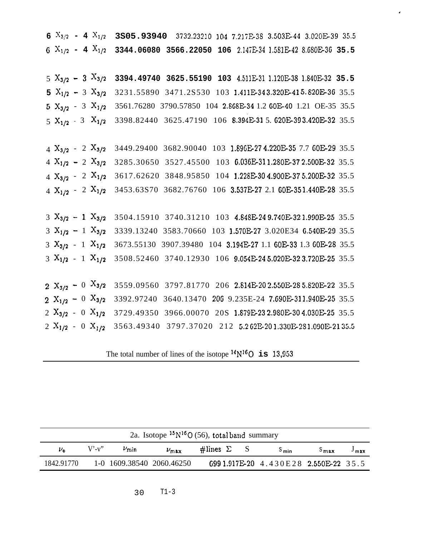6  $X_{3/2}$  - 4  $X_{1/2}$  3S05.93940 3732.23210 104 7.217E-38 3.503E-44 3.020E-39 35.5 6  $X_{1/2}$  - 4  $X_{1/2}$  3344.06080 3566.22050 106 2.147E-34 1.581E-42 8.680E-36 35.5

 $X_{3/2}$  - 3  $X_{3/2}$  3394.49740 3625.55190 103 4.511E-31 1.120E-38 1.840E-32 35.5  $X_{1/2}$  - 3  $X_{3/2}$  3231.55890 3471.2S530 103 1.411E-343.320E-415.820E-36 35.5  $X_{3/2}$  - 3  $X_{1/2}$  3561.76280 3790.57850 104 2.868E-34 1.2 60E-40 1.21 OE-35 35.5  $5 X_{1/2}$  - 3  $X_{1/2}$  3398.82440 3625.47190 106 8.394E-31 5.620E-393.420E-32 35.5

 $X_{3/2}$  - 2  $X_{3/2}$  3449.29400 3682.90040 103 1.896E-27 4.220E-35 7.7 60E-29 35.5  $X_{1/2}$  - 2  $X_{3/2}$  3285.30650 3527.45500 103 6.036E-311.280E-372.500E-32 35.5  $X_{3/2}$  - 2  $X_{1/2}$  3617.62620 3848.95850 104 1.228E-304.900E-375.200E-32 35.5  $X_{1/2}$  - 2  $X_{1/2}$  3453.63870 3682.76760 106 3.537E-27 2.1 60E-351.440E-28 35.5

 $3 X_{3/2} - 1 X_{3/2}$  3504.15910 3740.31210 103 4.848E-249.740E-321.990E-25 35.5  $3 X_{1/2} - 1 X_{3/2}$  3339.13240 3583.70660 103 1.570E-27 3.020E34 6.540E-29 35.5 3  $X_{3/2}$  - 1  $X_{1/2}$  3673.55130 3907.39480 104 3.194E-27 1.1 60E-33 1.3 60E-28 35.5 3  $X_{1/2}$  - 1  $X_{1/2}$  3508.52460 3740.12930 106 9.054E-24 5.020E-32 3.720E-25 35.5

 $X_{3/2}$  - 0  $X_{3/2}$  3559.09560 3797.81770 206 2.814E-202.550E-285.820E-22 35.5  $X_{1/2}$  - 0  $X_{3/2}$  3392.97240 3640.13470 206 9.235E-24 7.690E-311.940E-25 35.5  $X_{3/2}$  - 0  $X_{1/2}$  3729.49350 3966.00070 20S 1.879E-23 2.980E-30 4.030E-25 35.5  $X_{1/2}$  - 0  $X_{1/2}$  3563.49340 3797.37020 212 5.262E-201.330E-281.090E-2135.5

The total number of lines of the isotope  $^{14}N^{16}O$  is 13,953

|               | 2a. Isotope $15N^{16}O(56)$ , total band summary                                                    |  |                           |  |  |  |                                         |                  |  |
|---------------|-----------------------------------------------------------------------------------------------------|--|---------------------------|--|--|--|-----------------------------------------|------------------|--|
| $\nu_{\rm n}$ | $V'$ -v"<br>$\#$ lines $\Sigma$<br>$\nu_{\min}$<br>$\nu_{\text{max}}$<br>$S_{\rm max}$<br>$S_{min}$ |  |                           |  |  |  |                                         | $J_{\text{max}}$ |  |
| 1842.91770    |                                                                                                     |  | 1-0 1609.38540 2060.46250 |  |  |  | 699 1.917E-20 4.430 E 28 2.550E-22 35.5 |                  |  |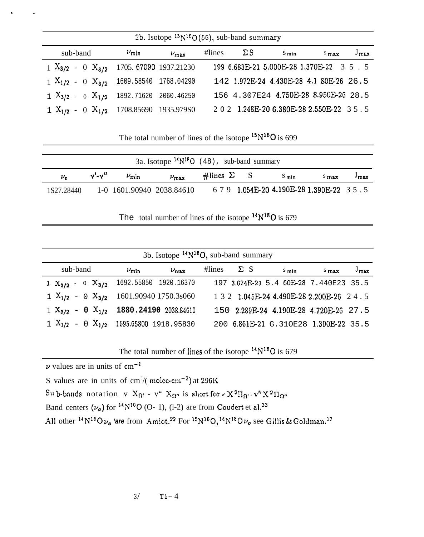|                                                                 |              | 2b. Isotope $15N^2O(56)$ , sub-band summary |                   |                                           |       |               |
|-----------------------------------------------------------------|--------------|---------------------------------------------|-------------------|-------------------------------------------|-------|---------------|
| sub-band                                                        | $\nu_{\min}$ | $\nu_{\text{max}}$                          | #lines $\Sigma S$ | $S_{\text{min}}$                          | $max$ | $J_{\rm max}$ |
| $1 \text{ X}_{3/2}$ - 0 $\text{X}_{3/2}$ 1705. 67090 1937.21230 |              |                                             |                   | 199 6.683E-21 5.000E-28 1.370E-22 3 5 . 5 |       |               |
| $1 \text{ X}_{1/2}$ - 0 $\text{X}_{3/2}$ 1609.58540 1768.04290  |              |                                             |                   | 142 1.972E-24 4.430E-28 4.1 80E-26 26.5   |       |               |
| 1 $X_{3/2}$ - o $X_{1/2}$ 1892.71620 2060.46250                 |              |                                             |                   | 156 4.307E24 4.750E-28 8.950E-26 28.5     |       |               |
| $1 X_{1/2} - 0 X_{1/2}$ 1708.85690 1935.979S0                   |              |                                             |                   | 202 1.248E-20 6.380E-28 2.550E-22 35.5    |       |               |

The total number of lines of the isotope  $15N^{16}$ O is 699

|               |              |              | 3a. Isotope $14N^{18}O$ (48), sub-band summary |                       |                                          |                  |               |
|---------------|--------------|--------------|------------------------------------------------|-----------------------|------------------------------------------|------------------|---------------|
| $\nu_{\rm o}$ | $v'$ - $v''$ | $\nu_{\min}$ | $\nu_{\text{max}}$                             | $\#$ lines $\Sigma$ S | $S_{\text{min}}$                         | $S_{\text{max}}$ | $^{\cup}$ max |
| 1S27.28440    |              |              | 1-0 1601.90940 2038.84610                      |                       | $679$ 1.054E-20 4.190E-28 1.390E-22 35.5 |                  |               |

The total number of lines of the isotope  $14N^{18}O$  is 679

|                                                 |              | 3b. Isotope $14N^{18}O$ , sub-band summary |                   |  |                                            |      |                  |
|-------------------------------------------------|--------------|--------------------------------------------|-------------------|--|--------------------------------------------|------|------------------|
| sub-band                                        | $\nu_{\min}$ | $\nu_{\text{max}}$                         | #lines $\Sigma S$ |  | $S_{min}$                                  | Smax | $J_{\text{max}}$ |
| 1 $X_{3/2}$ - 0 $X_{3/2}$ 1692.55850 1920.16370 |              |                                            |                   |  | 197 3.674E-21 5.4 60E-28 7.440E23 35.5     |      |                  |
| $1 X_{1/2} - 0 X_{3/2} 1601.90940 1750.3s060$   |              |                                            |                   |  | 1 3 2 1.045E-24 4.490E-28 2.200E-26 2 4 .5 |      |                  |
| $1 X_{3/2} - 0 X_{1/2} 1880.24190 2038.84610$   |              |                                            |                   |  | 150 2.289E-24 4.190E-28 4.720E-26 27.5     |      |                  |
| $1 X_{1/2} - 0 X_{1/2}$ 1695.65800 1918.95830   |              |                                            |                   |  | 200 6.861E-21 G.310E28 1.390E-22 35.5      |      |                  |

The total number of lines of the isotope  $14N^{18}O$  is 679

 $\nu$  values are in units of cm<sup>-1</sup>

S values are in units of cm<sup>-1</sup>/( molec-cm<sup>-2</sup>) at 296K

Sub-bands notation v  $X_{\Omega'}$  - v"  $X_{\Omega''}$  is short for  $v' X^2 \Pi_{\Omega'} - v'' X^2 \Pi_{\Omega''}$ 

Band centers  $(\nu_o)$  for  $^{14}N^{16}O$  (O- 1), (l-2) are from Coudert et al.<sup>33</sup>

All other  $^{14}N^{16}O \nu_0$  'are from Amiot.<sup>22</sup> For  $^{15}N^{16}O$ ,  $^{14}N^{18}O \nu_0$  see Gillis & Goldman.<sup>17</sup>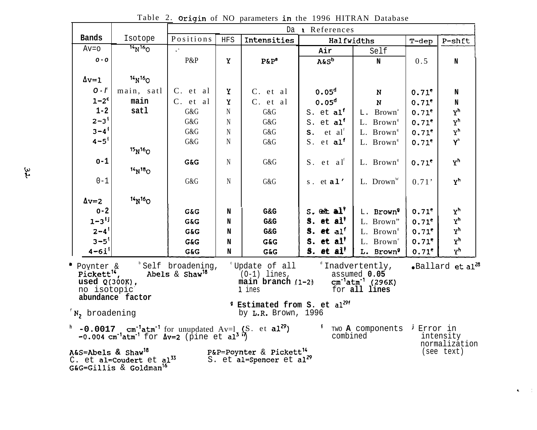|                                                                              |                                                                                         |                                                  |             |                                                                                             | Da References                      |                                                                                  |                     |                              |
|------------------------------------------------------------------------------|-----------------------------------------------------------------------------------------|--------------------------------------------------|-------------|---------------------------------------------------------------------------------------------|------------------------------------|----------------------------------------------------------------------------------|---------------------|------------------------------|
| <b>Bands</b>                                                                 | Isotope                                                                                 | Positions                                        | <b>HFS</b>  | Intensities                                                                                 | Halfwidths                         |                                                                                  | $T-dep$             | P-shft                       |
| $Av = o$                                                                     | $14N^{16}$                                                                              | $\mathcal{C}^{\mathcal{A}}$ .                    |             |                                                                                             | Air                                | Self                                                                             |                     |                              |
| $0 - 0$                                                                      |                                                                                         | P&P                                              | Y           | $P\&P^a$                                                                                    | A&S <sup>b</sup>                   | $\mathbf N$                                                                      | 0.5                 | $\mathbf N$                  |
|                                                                              |                                                                                         |                                                  |             |                                                                                             |                                    |                                                                                  |                     |                              |
| $\Delta v = 1$                                                               | 14 <sub>N</sub> 16 <sub>O</sub>                                                         |                                                  |             |                                                                                             |                                    |                                                                                  |                     |                              |
| $0 - f$                                                                      | main, satl                                                                              | C. et al                                         | Y           | C. et al                                                                                    | 0.05 <sup>d</sup>                  | $\mathbf N$                                                                      | $0.71^e$            | N                            |
| $1-2^c$                                                                      | main                                                                                    | C. et al                                         | Y           | C. et al                                                                                    | 0.05 <sup>d</sup>                  | N                                                                                | $0.71^e$            | $\mathbf N$                  |
| $1 - 2$                                                                      | satl                                                                                    | G&G                                              | N           | G&G                                                                                         | S. et al <sup>f</sup>              | L. Brown <sup>a</sup>                                                            | $0.71^e$            | $Y^h$                        |
| $2 - 3$ <sup>1</sup>                                                         |                                                                                         | G&G                                              | N           | G&G                                                                                         | S. et al <sup>f</sup>              | L. Brown <sup>s</sup>                                                            | $0.71^e$            | $Y^h$                        |
| $3 - 4$ <sup>i</sup>                                                         |                                                                                         | G&G                                              | N           | G&G                                                                                         | $s$ . et al                        | L. Brown <sup>s</sup>                                                            | $0.71^e$            | $Y^h$                        |
| $4 - 5^{1}$                                                                  |                                                                                         | G&G                                              | $\mathbf N$ | G&G                                                                                         | S. et al <sup>f</sup>              | L. Brown <sup>s</sup>                                                            | $0.71$ <sup>e</sup> | $\textbf{Y}^\text{h}$        |
|                                                                              | $15N^{16}$ O                                                                            |                                                  |             |                                                                                             |                                    |                                                                                  |                     |                              |
| $o-1$                                                                        |                                                                                         | G&G                                              | N           | G&G                                                                                         | $S.$ et al <sup>f</sup>            | L. Brown <sup>s</sup>                                                            | 0.71 <sup>e</sup>   | Y <sup>h</sup>               |
|                                                                              | $14N18$ <sub>O</sub>                                                                    |                                                  |             |                                                                                             |                                    |                                                                                  |                     |                              |
| $0 - 1$                                                                      |                                                                                         | G&G                                              | $\mathbf N$ | G&G                                                                                         | s. $et al'$                        | L. Drown                                                                         | 0.71'               | $Y^h$                        |
|                                                                              |                                                                                         |                                                  |             |                                                                                             |                                    |                                                                                  |                     |                              |
| $\Delta v = 2$                                                               | $14N^{16}$ O                                                                            |                                                  |             |                                                                                             |                                    |                                                                                  |                     |                              |
| $o-2$                                                                        |                                                                                         | G&G                                              | N           | G&G                                                                                         | $S.$ ett al <sup>*</sup>           | L. Brown <sup>9</sup>                                                            | $0.71^e$            | $X_{\mu}$                    |
| $1 - 3$ <sup>ij</sup>                                                        |                                                                                         | G&G                                              | N           | G&G                                                                                         | S. et $a1^{\dagger}$               | L. Brown"                                                                        | $0.71^e$            | $X_{\mu}$                    |
| $2 - 4$ <sup>1</sup>                                                         |                                                                                         | G&G                                              | N           | G&G                                                                                         | $S.$ et alf                        | L. Brown <sup>s</sup>                                                            | $0.71^e$            | $\mathbf{Y}^{\mathsf{h}}$    |
| $3 - 5^{1}$                                                                  |                                                                                         | G&G                                              | N           | G&G                                                                                         | S. et al <sup><math>t</math></sup> | L. Brown <sup>e</sup>                                                            | $0.71$ <sup>e</sup> | $Y^h$                        |
| $4 - 6i$ <sup>1</sup>                                                        |                                                                                         | G&G                                              | N           | <b>G&amp;G</b>                                                                              | S. et $a1^t$                       | L. Brown <sup>9</sup>                                                            | $0.71^e$            | Y <sup>h</sup>               |
| a<br>Poynter &<br>Pickett <sup>14</sup> ,<br>used $Q(300K)$ ,<br>no isotopic |                                                                                         | b Self broadening,<br>Abels & Shaw <sup>18</sup> |             | $\degree$ Update of all<br>$(0-1)$ lines,<br>main branch (1-2)<br>1 ines                    |                                    | $^d$ Inadvertently,<br>assumed 0.05<br>$cm^{-1}atm^{-1}$ (296K)<br>for all lines |                     | .Ballard et al <sup>28</sup> |
| $N$ , broadening                                                             | abundance factor                                                                        |                                                  |             | <sup>9</sup> Estimated from S. et al <sup>29f</sup><br>by L.R. Brown, 1996                  |                                    |                                                                                  |                     |                              |
|                                                                              | $-0.004$ cm <sup>-1</sup> atm <sup>-1</sup> for $\Delta v=2$ (pine et al <sup>3</sup> ) |                                                  |             | $h$ -0.0017 cm <sup>-1</sup> atm <sup>-1</sup> for unupdated Av=1 (S. et al <sup>29</sup> ) | combined                           | TWO A components <sup>j</sup> Error in                                           |                     | intensity<br>normalization   |
| A&S=Abels & Shaw <sup>18</sup>                                               | C. et al=Coudert et al <sup>33</sup><br>G&G=Gillis & Goldman <sup>16</sup>              |                                                  |             | P&P=Poynter & Pickett <sup>14</sup><br>S. et al=Spencer et al <sup>29</sup>                 |                                    |                                                                                  |                     | (see text)                   |

 $\mathbf{C}=\mathbb{C}^2$ 

Table 2. Origin of NO parameters in the 1996 HITRAN Database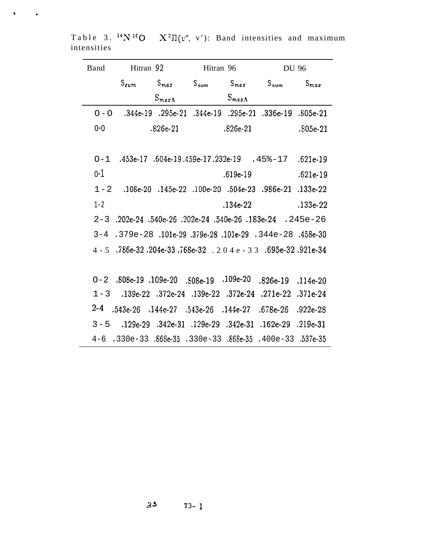| Band    | Hitran 92                                                                 |            | Hitran 96 |                   | <b>DU 96</b>                                                        |            |
|---------|---------------------------------------------------------------------------|------------|-----------|-------------------|---------------------------------------------------------------------|------------|
|         | $S_{sum}$                                                                 | $S_{max}$  |           |                   | $S_{\text{sum}}$ $S_{\text{max}}$ $S_{\text{sum}}$ $S_{\text{max}}$ |            |
|         |                                                                           | $S_{max}$  |           | $S_{\text{mech}}$ |                                                                     |            |
|         | $O-O$ .344e-19 .295e-21 .344e-19 .295e-21 .336e-19 .805e-21               |            |           |                   |                                                                     |            |
| $0 - 0$ |                                                                           | $.826e-21$ |           | $.826e-21$        |                                                                     | $.805e-21$ |
|         | $O-1$ $.453e-17$ $.604e-19.459e-17.232e-19$ $.458-17$ $.621e-19$          |            |           |                   |                                                                     |            |
| $0 - 1$ |                                                                           |            |           | $.619e-19$        |                                                                     | $.621e-19$ |
|         | $1-2$ .108e-20 .145e-22 .100e-20 .504e-23 .986e-21 .133e-22               |            |           |                   |                                                                     |            |
| $1 - 2$ |                                                                           |            |           | $.134 - 22$       |                                                                     | $.133e-22$ |
|         | $2-3$ .202e-24 .540e-26 .202e-24 .540e-26 .183e-24 .245e-26               |            |           |                   |                                                                     |            |
|         | $3-4$ .379e-28 .101e-29 .379e-28 .101e-29 .344e-28 .458e-30               |            |           |                   |                                                                     |            |
|         | $4 - 5$ $.786e-32$ $.204e-33$ $.768e-32$ $.204e-33$ $.695e-32$ $.921e-34$ |            |           |                   |                                                                     |            |
|         | $O-2$ .808e-19 .109e-20 .808e-19 .109e-20                                 |            |           |                   | $.826e-19$ $.114e-20$                                               |            |
|         | $1-3$ .139e-22 .372e-24 .139e-22 .372e-24 .271e-22 .371e-24               |            |           |                   |                                                                     |            |
| $2 - 4$ | .543e-26 .144e-27 .543e-26 .144e-27 .678e-26 .922e-28                     |            |           |                   |                                                                     |            |
|         | $3-5$ .129e-29 .342e-31 .129e-29 .342e-31 .162e-29 .219e-31               |            |           |                   |                                                                     |            |
|         | $4-6$ .330e-33 .868e-35 .330e-33 .868e-35 .400e-33 .537e-35               |            |           |                   |                                                                     |            |

Table 3. <sup>14</sup>N<sup>16</sup>O  $X^2\Pi(v'', v')$ : Band intensities and maximum intensities

 $\mathbf{v} = \mathbf{v} \cdot \mathbf{u}$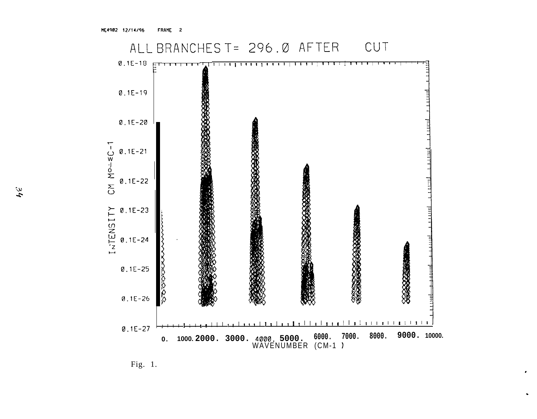

Fig. 1.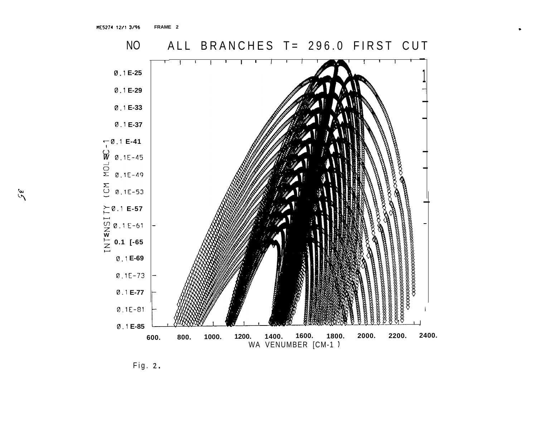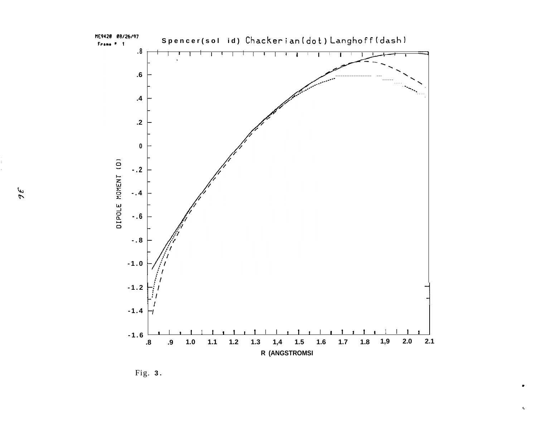

Fig. 3.

яĘ

 $\mathbf{C}$